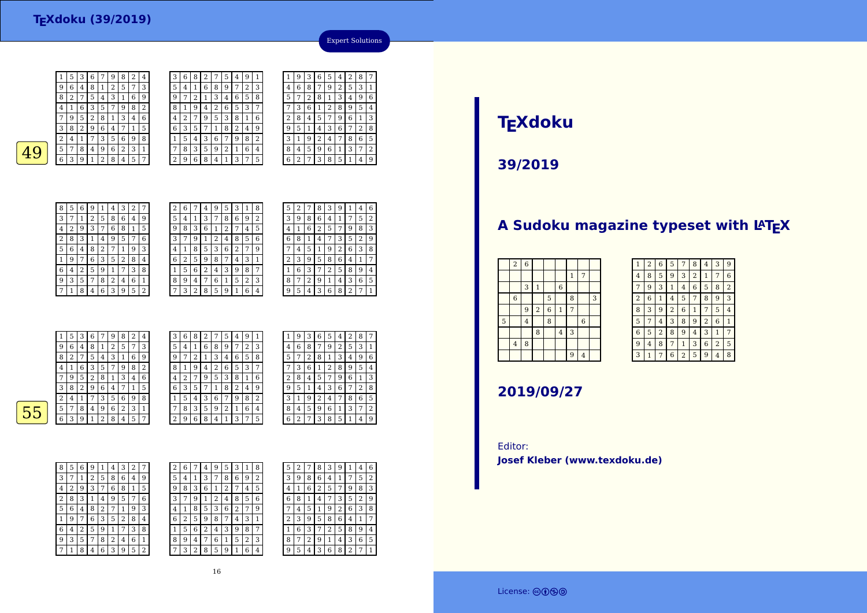<sup>5</sup> <sup>3</sup> <sup>6</sup> <sup>7</sup> <sup>9</sup> <sup>8</sup> <sup>2</sup> <sup>4</sup> 9 $\frac{9}{16}$  | 4 <sup>8</sup> <sup>1</sup> <sup>2</sup> <sup>5</sup> <sup>7</sup> <sup>3</sup>  $\frac{8}{2}$  <sup>7</sup> <sup>5</sup> <sup>4</sup> <sup>3</sup> <sup>1</sup> <sup>6</sup> <sup>9</sup> 4 <sup>1</sup> <sup>6</sup> <sup>3</sup> <sup>5</sup> <sup>7</sup> <sup>9</sup> <sup>8</sup> <sup>2</sup> 7 <sup>9</sup> <sup>5</sup> <sup>2</sup> <sup>8</sup> <sup>1</sup> <sup>3</sup> <sup>4</sup> <sup>6</sup> 3 $\frac{3}{2}$   $\frac{8}{4}$   $\frac{2}{1}$  $\frac{2}{9}$  6 4 7 1 5  $\overline{49}$   $\overline{5}$  7 8 4 9 6 2 3 1  $\begin{array}{|c|c|c|c|c|c|c|c|}\n\hline\n & & 5 & 7 & 8 & 4 & 9 & 6 & 2 & 3 & 1 \\
\hline\n & 6 & 3 & 9 & 1 & 2 & 8 & 4 & 5 & 7\n\end{array}$ 

<sup>2</sup> <sup>9</sup> <sup>3</sup> <sup>7</sup> <sup>6</sup> <sup>8</sup> <sup>1</sup> <sup>5</sup>

<sup>8</sup> <sup>3</sup> <sup>1</sup> <sup>4</sup> <sup>9</sup> <sup>5</sup> <sup>7</sup> <sup>6</sup>

 $\frac{9}{4}$  7 6 3 5 2 8 4

8 4 6 3 9 5 2

 <sup>4</sup>9 <sup>3</sup> <sup>5</sup> <sup>7</sup> <sup>8</sup> <sup>2</sup> <sup>4</sup> <sup>6</sup> <sup>1</sup> 2 5 9 1 7 3 8

 $\begin{array}{|c|c|c|c|c|c|}\n\hline\n8 & 2 & 7 & 1 & 9 & 3 \\
\hline\n6 & 3 & 5 & 2 & 8 & 4\n\end{array}$ 

| 3 | 6 | 8 | 2 | 7 | 5 | 4 | 9 | 1 |
|---|---|---|---|---|---|---|---|---|
| 5 | 4 | 1 | 6 | 8 | 9 | 7 | 2 | 3 |
| 9 | 7 | 2 | 1 | 3 | 4 | 6 | 5 | 8 |
| 8 | 1 | 9 | 4 | 2 | 6 | 5 | 3 | 7 |
| 4 | 2 | 7 | 9 | 5 | 3 | 8 | 1 | 6 |
| 6 | 3 | 5 | 7 | 1 | 8 | 2 | 4 | 9 |
| 1 | 5 | 4 | 3 | 6 | 7 | 9 | 8 | 2 |
| 7 | 8 | 3 | 5 | 9 | 2 | 1 | 6 | 4 |
|   | ā | ĥ | Ջ | Λ | 1 | っ | 7 | ҕ |

1

4

5 $rac{5}{2}$ 

7

 $\overline{2}$ 

 $9 \mid 5 \mid 1$ 

 $\frac{3}{1}$ 



1

8

3 $\begin{array}{c|c} 3 & 7 \\ \hline 4 & 2 \end{array}$ 

2

5 $5 \mid 6 \mid 4$ 

1

6

 $71$ 



| 2 | 6 |   | 4 | 9 | 5 | 3 | 1 | 8 | 5 | $\overline{2}$ |
|---|---|---|---|---|---|---|---|---|---|----------------|
| 5 | 4 | 1 | 3 | 7 | 8 | 6 | 9 | 2 | 3 | 9              |
| 9 | 8 | 3 | 6 | 1 | 2 | 7 | 4 | 5 | 4 | 1              |
| 3 |   | g |   | 2 | 4 | 8 | 5 | 6 | 6 | 8              |
| 4 | 1 | 8 | 5 | 3 | 6 | 2 | 7 | 9 |   | 4              |
| 6 | 2 | 5 | 9 | 8 | 7 | 4 | 3 | 1 | 2 | 3              |
| 1 | 5 | 6 | 2 | 4 | 3 | 9 | 8 | 7 | 1 | 6              |
| 8 | 9 | 4 |   | 6 | 1 | 5 | 2 | 3 | 8 | 7              |
| 7 | 3 | 2 | 8 | 5 | 9 | 1 | 6 | 4 | 9 | 5              |
|   |   |   |   |   |   |   |   |   |   |                |

| 5 | 2 |   | 8 | 3              | 9 | 1              | 4 | 6 |
|---|---|---|---|----------------|---|----------------|---|---|
| 3 | 9 | 8 | 6 | 4              | 1 | 7              | 5 | 2 |
| 4 | 1 | 6 | 2 | 5              | 7 | 9              | 8 | 3 |
| 6 | 8 | 1 | 4 | 7              | 3 | 5              | 2 | 9 |
| 7 | 4 | 5 | 1 | 9              | 2 | 6              | 3 | 8 |
| 2 | 3 | 9 | 5 | 8              | 6 | 4              | 1 | 7 |
| 1 | 6 | 3 | 7 | $\overline{c}$ | 5 | 8              | 9 | 4 |
| 8 | 7 | 2 | 9 | 1              | 4 | 3              | 6 | 5 |
| ä | 5 | 4 | 3 | 6              | 8 | $\overline{2}$ | 7 | 1 |

|   | 1      | 5 | 3 | 6 | 7 | 9 | 8 | 2 | 4 | 3             | 6 | 8 | ∍<br>∠ | 7 | 5 | 4 | 9 | 1              |
|---|--------|---|---|---|---|---|---|---|---|---------------|---|---|--------|---|---|---|---|----------------|
|   | 9      | 6 | 4 | 8 | 1 | 2 | 5 | 7 | 3 | 5             | 4 | 1 | 6      | 8 | 9 | 7 | 2 | 3              |
|   | 8      | 2 | 7 | 5 | 4 | 3 |   | 6 | 9 | 9             | 7 | 2 |        | 3 | 4 | 6 | 5 | 8              |
|   | 4      | 1 | 6 | 3 | 5 | 7 | 9 | 8 | 2 | 8             |   | 9 | 4      | 2 | 6 | 5 | 3 | 7              |
|   | 7      | 9 | 5 | 2 | 8 | 1 | 3 | 4 | 6 | 4             | 2 | 7 | 9      | 5 | 3 | 8 |   | 6              |
|   | 3      | 8 | 2 | 9 | 6 | 4 | 7 | 1 | 5 | 6             | 3 | 5 | ⇁      |   | 8 | 2 | 4 | 9              |
|   | າ<br>∠ | 4 |   |   | 3 | 5 | 6 | 9 | 8 |               | 5 | 4 | 3      | 6 | 7 | 9 | 8 | $\overline{2}$ |
| 5 | 5      | 7 | 8 | 4 | 9 | 6 | 2 | 3 | 1 | 7             | 8 | 3 | 5      | 9 | 2 |   | 6 | 4              |
|   | 6      | 3 | 9 |   | 2 | 8 | 4 | 5 | 7 | $\mathcal{D}$ | 9 | 6 | 8      | 4 | 1 | 3 | ⇁ | 5              |
|   |        |   |   |   |   |   |   |   |   |               |   |   |        |   |   |   |   |                |

| 1              | 9              | 3 | 6 | 5 | 4 | 2 | 8 | 7 |
|----------------|----------------|---|---|---|---|---|---|---|
| 4              | 6              | 8 | 7 | 9 | 2 | 5 | 3 | 1 |
| 5              | 7              | 2 | 8 | 1 | 3 | 4 | 9 | 6 |
| 7              | 3              | 6 | 1 | 2 | 8 | 9 | 5 | 4 |
| $\overline{2}$ | 8              | 4 | 5 | 7 | 9 | 6 | 1 | 3 |
| 9              | 5              | 1 | 4 | 3 | 6 | 7 | 2 | 8 |
| 3              | 1              | 9 | 2 | 4 | 7 | 8 | 6 | 5 |
| 8              | 4              | 5 | 9 | 6 | 1 | 3 | 7 | 2 |
| 6              | $\overline{c}$ | 7 | 3 | 8 | 5 | 1 | 4 | 9 |



| 8              | 5 | 6 | 9              | 1 | 4 | 3              | $\overline{2}$ |   |
|----------------|---|---|----------------|---|---|----------------|----------------|---|
| 3              | 7 | 1 | $\overline{2}$ | 5 | 8 | 6              | 4              | 9 |
| 4              | 2 | 9 | 3              | 7 | 6 | 8              | 1              | 5 |
| $\overline{c}$ | 8 | 3 | 1              | 4 | 9 | 5              | 7              | 6 |
| 5              | 6 | 4 | 8              | 2 | 7 | 1              | 9              | 3 |
| 1              | 9 | 7 | 6              | 3 | 5 | $\overline{c}$ | 8              | 4 |
| 6              | 4 | 2 | 5              | 9 | 1 | 7              | 3              | 8 |
| 9              | 3 | 5 | 7              | 8 | 2 | 4              | 6              | 1 |
|                | 1 | 8 | 4              | 6 | 3 | 9              | 5              | 2 |

| 2 | 6 |                | 4 | 9 | 5      | 3 | 1 | 8 | 5      |   |   | 8 | 3 | 9 | 1 | 4 | 6 |
|---|---|----------------|---|---|--------|---|---|---|--------|---|---|---|---|---|---|---|---|
| 5 | 4 | 1              | 3 | 7 | 8      | 6 | 9 | 2 | 3      | 9 | 8 | 6 | 4 | 1 | 7 | 5 | 2 |
| 9 | 8 | 3              | 6 | 1 | າ<br>∠ |   | 4 | 5 | 4      |   | 6 | 2 | 5 | 7 | 9 | 8 | 3 |
| 3 | 7 | 9              | 1 | 2 | 4      | 8 | 5 | 6 | 6      | 8 |   | 4 | 7 | 3 | 5 | 2 | 9 |
| 4 | 1 | 8              | 5 | 3 | 6      | 2 | 7 | 9 | 7      | 4 | 5 | 1 | 9 | 2 | 6 | 3 | 8 |
| 6 | 2 | 5              | 9 | 8 | 7      | 4 | 3 | 1 | っ<br>∠ | 3 | 9 | 5 | 8 | 6 | 4 | 1 | 7 |
| 1 | 5 | 6              | 2 | 4 | 3      | 9 | 8 | 7 |        | 6 | З |   | 2 | 5 | 8 | 9 | 4 |
| 8 | 9 | 4              | 7 | 6 | 1      | 5 | 2 | 3 | 8      | ⇁ | 2 | 9 | 1 | 4 | 3 | 6 | 5 |
| 7 | 3 | $\overline{2}$ | 8 | 5 | 9      | 1 | 6 | 4 | 9      | 5 | 4 | 3 | 6 | 8 | 2 | 7 |   |
|   |   |                |   |   |        |   |   |   |        |   |   |   |   |   |   |   |   |

Expert Solutions

<sup>9</sup> <sup>3</sup> <sup>6</sup> <sup>5</sup> <sup>4</sup> <sup>2</sup> <sup>8</sup> <sup>7</sup>

<sup>6</sup> <sup>8</sup> <sup>7</sup> <sup>9</sup> <sup>2</sup> <sup>5</sup> <sup>3</sup> <sup>1</sup>

 $\begin{array}{|c|c|c|c|c|c|c|c|c|}\n\hline\n3 & 6 & 1 & 2 & 8 & 9 & 5 \\
\hline\n8 & 4 & 5 & 7 & 9 & 6 & 1\n\end{array}$ 

<sup>8</sup> <sup>4</sup> <sup>5</sup> <sup>7</sup> <sup>9</sup> <sup>6</sup> <sup>1</sup> <sup>3</sup>

 <sup>9</sup> <sup>2</sup> <sup>4</sup> <sup>7</sup> <sup>8</sup> <sup>6</sup> <sup>5</sup> 8 <sup>4</sup> <sup>5</sup> <sup>9</sup> <sup>6</sup> <sup>1</sup> <sup>3</sup> <sup>7</sup> <sup>2</sup>  $6$  | 2 | 7 | 3 | 8 | 5 | 1 | 4 | 9

<sup>2</sup> <sup>8</sup> <sup>1</sup> <sup>3</sup> <sup>4</sup> <sup>9</sup> <sup>6</sup>

 $\begin{array}{|c|c|c|c|c|}\n 3 & 6 & 7 & 2 \\
\hline\n4 & 7 & 8 & 6\n\end{array}$ 

# **TEXdoku**

**39/2019**

### **A Sudoku magazine typeset with LATEX**

|   | $\,2$            | $\,$ 6 $\,$    |                |                |                |                |                |   |
|---|------------------|----------------|----------------|----------------|----------------|----------------|----------------|---|
|   |                  |                |                |                |                | $\mathbf{1}$   | $\overline{7}$ |   |
|   |                  | 3              | $\,1\,$        |                | $\,$ 6 $\,$    |                |                |   |
|   | $\boldsymbol{6}$ |                |                | 5              |                | 8              |                | 3 |
|   |                  | 9              | $\overline{c}$ | $\overline{6}$ | $\mathbf{1}$   | $\overline{7}$ |                |   |
| 5 |                  | $\overline{4}$ |                | 8              |                |                | $\overline{6}$ |   |
|   |                  |                | 8              |                | $\overline{4}$ | 3              |                |   |
|   | $\bf{4}$         | 8              |                |                |                |                |                |   |
|   |                  |                |                |                |                | 9              | $\overline{4}$ |   |

| 1              | $\overline{2}$ | 6              | 5              | 7              | 8              | 4              | 3              | 9              |
|----------------|----------------|----------------|----------------|----------------|----------------|----------------|----------------|----------------|
| 4              | 8              | 5              | 9              | 3              | $\overline{2}$ | 1              | 7              | 6              |
| 7              | 9              | 3              | $\mathbf{1}$   | 4              | 6              | 5              | 8              | $\overline{2}$ |
| $\overline{2}$ | 6              | $\mathbf{1}$   | 4              | 5              | 7              | 8              | 9              | 3              |
| 8              | 3              | 9              | $\overline{2}$ | 6              | 1              | 7              | 5              | 4              |
| 5              | 7              | 4              | 3              | 8              | 9              | $\overline{a}$ | 6              | 1              |
| 6              | 5              | $\overline{2}$ | 8              | 9              | 4              | 3              | 1              | 7              |
| 9              | $\overline{4}$ | 8              | 7              | $\mathbf{1}$   | 3              | 6              | $\overline{2}$ | 5              |
| 3              | 1              | 7              | 6              | $\overline{2}$ | 5              | 9              | 4              | 8              |

**2019/09/27**

Editor:**Josef Kleber (www.texdoku.de)**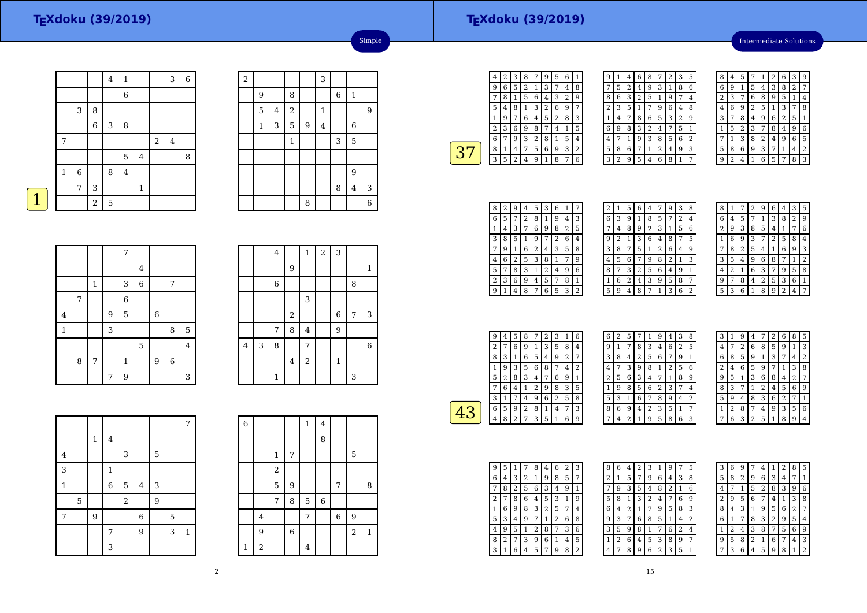Intermediate Solutions

|             |   |             | $\bf 4$ | 1       |         |                  | 3       | $\boldsymbol{6}$ |
|-------------|---|-------------|---------|---------|---------|------------------|---------|------------------|
|             |   |             |         | 6       |         |                  |         |                  |
|             | 3 | 8           |         |         |         |                  |         |                  |
|             |   | $\,$ 6 $\,$ | 3       | 8       |         |                  |         |                  |
| 7           |   |             |         |         |         | $\boldsymbol{2}$ | $\bf 4$ |                  |
|             |   |             |         | 5       | $\bf 4$ |                  |         | 8                |
| $\mathbf 1$ | 6 |             | 8       | $\bf 4$ |         |                  |         |                  |
|             | 7 | 3           |         |         | $\,1$   |                  |         |                  |
|             |   | $\,2$       | 5       |         |         |                  |         |                  |
|             |   |             |         |         |         |                  |         |                  |

| $\sqrt{2}$ |              |                         |                |   | 3              |                  |                |   |
|------------|--------------|-------------------------|----------------|---|----------------|------------------|----------------|---|
|            | 9            |                         | 8              |   |                | $\boldsymbol{6}$ | $\mathbf{1}$   |   |
|            | 5            | $\overline{\mathbf{4}}$ | $\overline{a}$ |   | $\mathbf{1}$   |                  |                | 9 |
|            | $\mathbf{1}$ | 3                       | 5              | 9 | $\overline{4}$ |                  | 6              |   |
|            |              |                         | $\mathbf 1$    |   |                | 3                | 5              |   |
|            |              |                         |                |   |                |                  |                |   |
|            |              |                         |                |   |                |                  | 9              |   |
|            |              |                         |                |   |                | 8                | $\overline{4}$ | 3 |
|            |              |                         |                | 8 |                |                  |                | 6 |

Simple

|                |   |             |                | 7            |                |                |   |   |
|----------------|---|-------------|----------------|--------------|----------------|----------------|---|---|
|                |   |             |                |              | $\overline{4}$ |                |   |   |
|                |   | $\mathbf 1$ |                | 3            | 6              |                | 7 |   |
|                | 7 |             |                | 6            |                |                |   |   |
| $\overline{4}$ |   |             | $\overline{9}$ | 5            |                | $\overline{6}$ |   |   |
| $\mathbf{1}$   |   |             | 3              |              |                |                | 8 | 5 |
|                |   |             |                |              | 5              |                |   | 4 |
|                | 8 | 7           |                | $\mathbf{1}$ |                | 9              | 6 |   |
|                |   |             | 7              | 9            |                |                |   | 3 |

|                |   | $\overline{4}$ |            | $\mathbf 1$    | $\,2$ | 3            |             |       |
|----------------|---|----------------|------------|----------------|-------|--------------|-------------|-------|
|                |   |                | 9          |                |       |              |             | $\,1$ |
|                |   | 6              |            |                |       |              | $\,$ 8 $\,$ |       |
|                |   |                |            | 3              |       |              |             |       |
|                |   |                | $\sqrt{2}$ |                |       | $\,$ 6 $\,$  | 7           | 3     |
|                |   | 7              | 8          | $\overline{4}$ |       | 9            |             |       |
| $\overline{4}$ | 3 | 8              |            | 7              |       |              |             | 6     |
|                |   |                | $\bf 4$    | $\sqrt{2}$     |       | $\mathbf{1}$ |             |       |
|                |   | $\mathbf{1}$   |            |                |       |              | 3           |       |

|                |   |             |              |       |             |   |   | 7            |
|----------------|---|-------------|--------------|-------|-------------|---|---|--------------|
|                |   | $\mathbf 1$ | 4            |       |             |   |   |              |
| $\overline{4}$ |   |             |              | 3     |             | 5 |   |              |
| 3              |   |             | $\mathbf{1}$ |       |             |   |   |              |
| $\,1\,$        |   |             | $\,$ 6 $\,$  | 5     | $\bf 4$     | 3 |   |              |
|                | 5 |             |              | $\,2$ |             | 9 |   |              |
| 7              |   | 9           |              |       | $\,$ 6 $\,$ |   | 5 |              |
|                |   |             | 7            |       | 9           |   | 3 | $\mathbf{1}$ |
|                |   |             | 3            |       |             |   |   |              |

| 6            |                  |              |             | $\mathbf{1}$   | 4           |                |                |             |
|--------------|------------------|--------------|-------------|----------------|-------------|----------------|----------------|-------------|
|              |                  |              |             |                | 8           |                |                |             |
|              |                  | $\mathbf{1}$ | 7           |                |             |                | 5              |             |
|              |                  | $\,2$        |             |                |             |                |                |             |
|              |                  | 5            | 9           |                |             | $\overline{7}$ |                | 8           |
|              |                  | 7            | 8           | 5              | $\,$ 6 $\,$ |                |                |             |
|              | $\bf 4$          |              |             | 7              |             | 6              | 9              |             |
|              | 9                |              | $\,$ 6 $\,$ |                |             |                | $\overline{2}$ | $\mathbf 1$ |
| $\mathbf{1}$ | $\boldsymbol{2}$ |              |             | $\overline{4}$ |             |                |                |             |

| 4              | 2 | 3 | 8 | 7 | 9 | 5 | 6 |   |  |
|----------------|---|---|---|---|---|---|---|---|--|
| 9              | 6 | 5 | 2 | 1 | 3 | 7 | 4 | 8 |  |
| 7              | 8 | 1 | 5 | 6 | 4 | 3 | 2 | 9 |  |
| 5              | 4 | 8 | 1 | 3 | 2 | 6 | 9 | 7 |  |
| 1              | 9 | 7 | 6 | 4 | 5 | 2 | 8 | 3 |  |
| $\overline{c}$ | 3 | 6 | 9 | 8 | 7 | 4 | 1 | 5 |  |
| 6              | 7 | 9 | 3 | 2 | 8 | 1 | 5 | 4 |  |
| 8              | 1 | 4 | 7 | 5 | 6 | 9 | 3 | 2 |  |
| 3              | 5 | 2 | 4 | 9 | 1 | 8 | 7 | 6 |  |
|                |   |   |   |   |   |   |   |   |  |

| 9 | 1              | 4 | 6              | 8 | 7 | $\overline{2}$ | 3 | 5 |  |
|---|----------------|---|----------------|---|---|----------------|---|---|--|
|   | 5              | 2 | 4              | 9 | 3 | 1              | 8 | 6 |  |
| 8 | 6              | 3 | $\overline{c}$ | 5 | 1 | 9              | 7 | 4 |  |
| 2 | 3              | 5 | 1              | 7 | 9 | 6              | 4 | 8 |  |
| 1 | 4              | 7 | 8              | 6 | 5 | 3              | 2 | 9 |  |
| 6 | 9              | 8 | 3              | 2 | 4 | 7              | 5 | 1 |  |
| 4 | 7              | 1 | 9              | 3 | 8 | 5              | 6 | 2 |  |
| 5 | 8              | 6 | 7              | 1 | 2 | 4              | 9 | 3 |  |
| 3 | $\overline{2}$ | 9 | 5              | 4 | 6 | 8              | 1 |   |  |

| 8 | 4              | 5 |                | 1 | 2 | 6 | 3 | g |
|---|----------------|---|----------------|---|---|---|---|---|
| 6 | 9              | 1 | 5              | 4 | 3 | 8 | 2 | 7 |
| 2 | 3              | 7 | 6              | 8 | g | 5 | 1 | 4 |
| 4 | 6              | g | $\overline{c}$ | 5 | 1 | 3 | 7 | 8 |
| 3 | 7              | 8 | 4              | 9 | 6 | 2 | 5 | 1 |
| 1 | 5              | 2 | 3              | 7 | 8 | 4 | 9 | 6 |
|   | 1              | 3 | 8              | 2 | 4 | 9 | 6 | 5 |
| 5 | 8              | 6 | 9              | 3 | 7 | 1 | 4 | 2 |
|   | $\overline{2}$ | 4 |                | 6 | 5 |   | 8 | 3 |

| 8 | 2 | 9 | 4 | 5 | З | 6 | $\mathbf{1}$   |   |
|---|---|---|---|---|---|---|----------------|---|
| 6 | 5 |   | 2 | 8 | 1 | 9 | 4              | 3 |
| 1 | 4 | 3 | 7 | 6 | 9 | 8 | $\overline{2}$ | 5 |
| З | 8 | 5 | 1 | 9 |   | 2 | 6              | 4 |
|   | 9 | 1 | 6 | 2 | 4 | 3 | 5              | 8 |
| 4 | 6 | 2 | 5 | 3 | 8 | 1 | 7              | 9 |
| 5 | 7 | 8 | 3 | 1 | 2 | 4 | 9              | 6 |
| 2 | 3 | 6 | 9 | 4 | 5 | 7 | 8              | 1 |
| g |   | 4 | 8 | 7 | 6 | 5 | 3              | 2 |

| 2 | 1 | 5 | 6              | 4              | 7            | 9 | 3 | 8            |
|---|---|---|----------------|----------------|--------------|---|---|--------------|
| 6 | 3 | 9 | 1              | 8              | 5            | 7 | 2 | 4            |
| 7 | 4 | 8 | 9              | $\overline{c}$ | 3            | 1 | 5 | 6            |
| 9 | 2 | 1 | 3              | 6              | 4            | 8 | 7 | 5            |
| 3 | 8 | 7 | 5              | 1              | 2            | 6 | 4 | g            |
| 4 | 5 | 6 | 7              | 9              | 8            | 2 | 1 | 3            |
| 8 | 7 | 3 | $\overline{2}$ | 5              | 6            | 4 | 9 | $\mathbf{1}$ |
| 1 | 6 | 2 | 4              | 3              | 9            | 5 | 8 | 7            |
| 5 | 9 | 4 | 8              | 7              | $\mathbf{1}$ | 3 | 6 | 2            |
|   |   |   |                |                |              |   |   |              |

| 8 | 1 |   | $\overline{\mathbf{c}}$ | 9 | 6 | 4              | 3              | 5 |
|---|---|---|-------------------------|---|---|----------------|----------------|---|
| 6 | 4 | 5 | 7                       | 1 | 3 | 8              | $\overline{2}$ | 9 |
| 2 | 9 | 3 | 8                       | 5 | 4 | 1              |                | 6 |
| 1 | 6 | 9 | 3                       | 7 | 2 | 5              | 8              | 4 |
|   | 8 | 2 | 5                       | 4 | 1 | 6              | 9              | 3 |
| 3 | 5 | 4 | 9                       | 6 | 8 | 7              | 1              | 2 |
| 4 | 2 | 1 | 6                       | 3 | 7 | 9              | 5              | 8 |
| g | 7 | 8 | 4                       | 2 | 5 | 3              | 6              | 1 |
| 5 | 3 | 6 | 1                       | 8 | 9 | $\overline{2}$ | 4              |   |

| 9 | 4 | 5              | 8 |   | 2 | З              | 1 | 6 |
|---|---|----------------|---|---|---|----------------|---|---|
| 2 |   | 6              | 9 | 1 | 3 | 5              | 8 | 4 |
| 8 | 3 | 1              | 6 | 5 | 4 | 9              | 2 |   |
|   | 9 | 3              | 5 | 6 | 8 |                | 4 | 2 |
| 5 | 2 | 8              | 3 | 4 | 7 | 6              | 9 | 1 |
|   | 6 | 4              | 1 | 2 | 9 | 8              | 3 | 5 |
| 3 |   |                | 4 | 9 | 6 | $\overline{2}$ | 5 | 8 |
| 6 | 5 | 9              | 2 | 8 | 1 | 4              | 7 | 3 |
| 4 | 8 | $\overline{2}$ | 7 | 3 | 5 | 1              | 6 | 9 |
|   |   |                |   |   |   |                |   |   |

| 6 | 2 | 5 |   |   |   |   |   | 8                     |  |
|---|---|---|---|---|---|---|---|-----------------------|--|
| 9 | 1 | 7 | 8 | 3 | 4 | 6 | 2 | 5                     |  |
| 3 | 8 | 4 | 2 | 5 | 6 | 7 | 9 | 1                     |  |
| 4 | 7 | 3 | 9 | 8 | 1 | 2 | 5 | 6                     |  |
| 2 | 5 | 6 | 3 | 4 | 7 | 1 | 8 | 9                     |  |
| 1 | 9 | 8 | 5 | 6 | 2 | 3 | 7 | 4                     |  |
| 5 | 3 | 1 | 6 | 7 | 8 | 9 | 4 | $\overline{2}$        |  |
| 8 | 6 | 9 | 4 | 2 | 3 | 5 | 1 | 7                     |  |
| 7 | 4 | 2 | 1 | 9 | 5 | 8 | 6 | 3                     |  |
|   |   |   |   |   |   |   |   | 3<br>9<br>1<br>4<br>7 |  |

| 3 | 1              | 9 | 4              | 7 | 2            | 6              | 8              | 5 |
|---|----------------|---|----------------|---|--------------|----------------|----------------|---|
| 4 | 7              | 2 | 6              | 8 | 5            | 9              | 1              | 3 |
| 6 | 8              | 5 | 9              | 1 | 3            | 7              | 4              | 2 |
| 2 | 4              | 6 | 5              | 9 | 7            | 1              | 3              | 8 |
| g | 5              | 1 | 3              | 6 | 8            | 4              | $\overline{2}$ | 7 |
| 8 | 3              |   | 1              | 2 | 4            | 5              | 6              | 9 |
| 5 | 9              | 4 | 8              | 3 | 6            | $\overline{c}$ | 7              | 1 |
| 1 | $\overline{2}$ | 8 | 7              | 4 | 9            | 3              | 5              | 6 |
|   | 6              | 3 | $\overline{2}$ | 5 | $\mathbf{1}$ | 8              | 9              | 4 |

| 9 | 5 |   |   | 8 | 4 | 6 | $\overline{2}$ | 3 |
|---|---|---|---|---|---|---|----------------|---|
| 6 | 4 | 3 | 2 | 1 | 9 | 8 | 5              | 7 |
|   | 8 | 2 | 5 | 6 | 3 | 4 | 9              | 1 |
| 2 | 7 | 8 | 6 | 4 | 5 | 3 | 1              | 9 |
| 1 | 6 | 9 | 8 | 3 | 2 | 5 | 7              | 4 |
| 5 | 3 | 4 | 9 | 7 | 1 | 2 | 6              | 8 |
| 4 | 9 | 5 | 1 | 2 | 8 |   | 3              | 6 |
| 8 | 2 | 7 | 3 | 9 | 6 | 1 | 4              | 5 |
| 3 | 1 | 6 | 4 | 5 | 7 | 9 | 8              | 2 |

| 8 | 6 | 4 | 2 | 3 | 1              | 9              |   | 5 |
|---|---|---|---|---|----------------|----------------|---|---|
| 2 | 1 | 5 |   | 9 | 6              | 4              | 3 | 8 |
|   | 9 | 3 | 5 | 4 | 8              | $\overline{2}$ | 1 | 6 |
| 5 | 8 | 1 | 3 | 2 | 4              |                | 6 | 9 |
| 6 | 4 | 2 | 1 | 7 | 9              | 5              | 8 | 3 |
| 9 | 3 | 7 | 6 | 8 | 5              | 1              | 4 | 2 |
| 3 | 5 | 9 | 8 | 1 | 7              | 6              | 2 | 4 |
| 1 | 2 | 6 | 4 | 5 | 3              | 8              | 9 | 7 |
| 4 | 7 | 8 | 9 | 6 | $\overline{2}$ | 3              | 5 | 1 |

| 3 | 6 | 9              |                | 4              | 1 | 2              | 8              | 5            |
|---|---|----------------|----------------|----------------|---|----------------|----------------|--------------|
| 5 | 8 | $\overline{2}$ | 9              | 6              | 3 | $\overline{4}$ |                | $\mathbf{1}$ |
| 4 | 7 | 1              | 5              | $\overline{2}$ | 8 | 3              | 9              | 6            |
| 2 | 9 | 5              | 6              | 7              | 4 | 1              | 3              | 8            |
| 8 | 4 | 3              | 1              | 9              | 5 | 6              | $\overline{2}$ | 7            |
| 6 | 1 | 7              | 8              | 3              | 2 | 9              | 5              | 4            |
| 1 | 2 | 4              | 3              | 8              | 7 | 5              | 6              | 9            |
| g | 5 | 8              | $\overline{2}$ | 1              | 6 | 7              | 4              | 3            |
|   | 3 | 6              | 4              | 5              | 9 | 8              | 1              | 2            |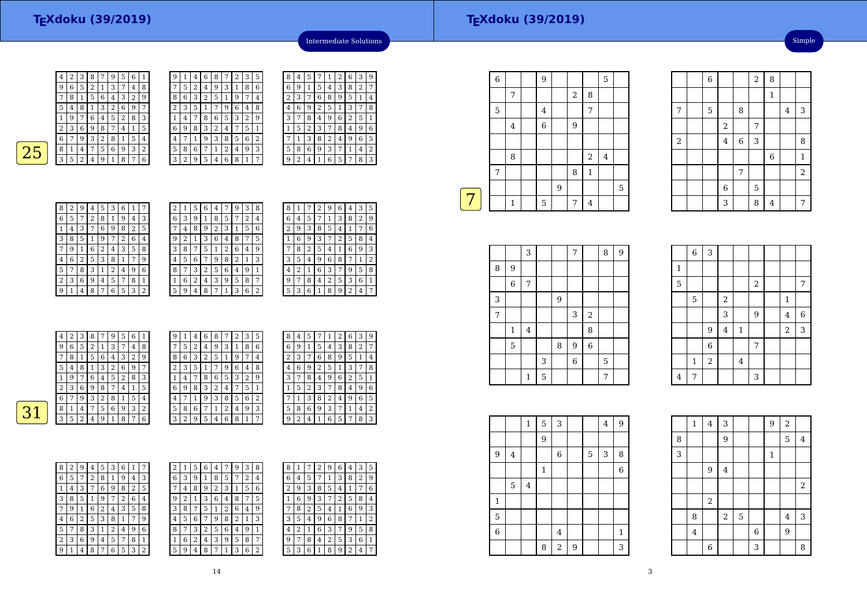|   | ı | 4 | 6              | 8 |   | 2 | 3 | 5 |
|---|---|---|----------------|---|---|---|---|---|
|   | 5 | 2 | 4              | 9 | 3 | 1 | 8 | 6 |
| 8 | 6 | 3 | $\overline{2}$ | 5 | 1 | g | 7 | 4 |
| 2 | 3 | 5 | 1              | 7 | 9 | 6 | 4 | 8 |
| 1 | 4 | 7 | 8              | 6 | 5 | 3 | 2 | 9 |
| 6 | 9 | 8 | 3              | 2 | 4 | 7 | 5 | 1 |
| 4 |   | 1 | 9              | 3 | 8 | 5 | 6 | 2 |
| 5 | 8 | 6 | 7              | 1 | 2 | 4 | 9 | 3 |
| 3 | 2 | 9 | 5              | 4 | 6 | 8 | 1 |   |

| 8 | 2 | 9              | 4 | 5 | 3 | 6              | 1 | 7 |  |
|---|---|----------------|---|---|---|----------------|---|---|--|
| 6 | 5 | 7              | 2 | 8 | 1 | 9              | 4 | 3 |  |
| 1 | 4 | 3              | 7 | 6 | 9 | 8              | 2 | 5 |  |
| 3 | 8 | 5              | 1 | 9 | 7 | $\overline{2}$ | 6 | 4 |  |
| 7 | 9 | 1              | 6 | 2 | 4 | 3              | 5 | 8 |  |
| 4 | 6 | $\overline{2}$ | 5 | 3 | 8 | 1              | 7 | 9 |  |
| 5 | 7 | 8              | 3 | 1 | 2 | 4              | 9 | 6 |  |
| 2 | 3 | 6              | 9 | 4 | 5 | 7              | 8 | 1 |  |
| 9 | 1 | 4              | 8 | 7 | 6 | 5              | 3 | 2 |  |

| 2 | 1 | 5 | 6 | 4              | 7 | 9 | З | 8 |  |
|---|---|---|---|----------------|---|---|---|---|--|
| 6 | 3 | 9 | 1 | 8              | 5 | 7 | 2 | 4 |  |
| 7 | 4 | 8 | 9 | $\overline{c}$ | 3 | 1 | 5 | 6 |  |
| 9 | 2 | 1 | 3 | 6              | 4 | 8 | 7 | 5 |  |
| 3 | 8 | 7 | 5 | 1              | 2 | 6 | 4 | 9 |  |
| 4 | 5 | 6 | 7 | 9              | 8 | 2 | 1 | 3 |  |
| 8 | 7 | 3 | 2 | 5              | 6 | 4 | 9 | 1 |  |
| 1 | 6 | 2 | 4 | 3              | 9 | 5 | 8 | 7 |  |
| 5 | 9 | 4 | 8 | 7              | 1 | 3 | 6 | 2 |  |

| 8 | 1 |   | 2 | 9 | 6 | 4              | З              | 5              |
|---|---|---|---|---|---|----------------|----------------|----------------|
| 6 | 4 | 5 | 7 | 1 | З | 8              | $\overline{2}$ | 9              |
| 2 | 9 | 3 | 8 | 5 | 4 | 1              | 7              | 6              |
|   | 6 | 9 | 3 | 7 | 2 | 5              | 8              | 4              |
| 7 | 8 | 2 | 5 | 4 | 1 | 6              | 9              | 3              |
| 3 | 5 | 4 | 9 | 6 | 8 | 7              | 1              | $\overline{2}$ |
| 4 | 2 | 1 | 6 | 3 | 7 | 9              | 5              | 8              |
| 9 | 7 | 8 | 4 | 2 | 5 | 3              | 6              | 1              |
| 5 | 3 | 6 |   | 8 | 9 | $\overline{2}$ | 4              | 7              |

Intermediate Solutions

 $\begin{array}{|c|c|c|c|c|}\n\hline\n7 & 1 & 2 & 6 & 3 \\
\hline\n5 & 4 & 3 & 8 & 2\n\end{array}$ 

1 5 4 3 8 2 7<br>7 6 8 9 5 1 4

<sup>8</sup> <sup>4</sup> <sup>9</sup> <sup>6</sup> <sup>2</sup> <sup>5</sup> <sup>1</sup>

 <sup>1</sup> <sup>3</sup> <sup>8</sup> <sup>2</sup> <sup>4</sup> <sup>9</sup> <sup>6</sup> <sup>5</sup> 5 <sup>8</sup> <sup>6</sup> <sup>9</sup> <sup>3</sup> <sup>7</sup> <sup>1</sup> <sup>4</sup> <sup>2</sup>  $9$  | 2 | 4 | 1 | 6 | 5 | 7 | 8 | 3

<sup>5</sup> <sup>2</sup> <sup>3</sup> <sup>7</sup> <sup>8</sup> <sup>4</sup> <sup>9</sup> <sup>6</sup>

<sup>3</sup> <sup>7</sup> <sup>6</sup> <sup>8</sup> <sup>9</sup> <sup>5</sup> <sup>1</sup> <sup>4</sup>

<sup>6</sup> <sup>9</sup> <sup>2</sup> <sup>5</sup> <sup>1</sup> <sup>3</sup> <sup>7</sup> <sup>8</sup>

8 $\frac{8}{1}$ 

6 $\begin{array}{c|c|c|c|c} 6 & 9 & 1 \end{array}$ 

2

 $\overline{\phantom{a}}$  $\begin{array}{|c|c|}\n7 \\
5\n\end{array}$ 

| 1

 $71$ 

 $\boxed{4}$  6

| 4                  | 2 | 3 | 8 | 7 | 9 I | 5 | 6 |   | 9              | 1              | 4 | 6 | 8      | 7 | 2              | 3 | 5 | 8  | $\overline{4}$ | 5. | 7 | $\mathbf{1}$   | 2 | 6 | 3 I         | -9             |
|--------------------|---|---|---|---|-----|---|---|---|----------------|----------------|---|---|--------|---|----------------|---|---|----|----------------|----|---|----------------|---|---|-------------|----------------|
| 9                  | 6 | 5 | ∍ |   | 3   | 7 | 4 | 8 | 7              | 5              | 2 | 4 | 9      | 3 |                | 8 | 6 | 6  | 9              |    | 5 | $\overline{4}$ | 3 | 8 | 2           | 7              |
| ⇁                  | 8 |   |   | 6 | 4   | 3 | 2 | 9 | 8              | 6              | 3 | 2 | 5      |   | 9              | 7 | 4 |    | 3              | 7  | 6 | 8              | 9 | 5 |             | $\overline{4}$ |
| 5                  | 4 | 8 |   | 3 | 2   | 6 | 9 | 7 | $\overline{2}$ | 3              | 5 |   | 7      | 9 | 6              | 4 | 8 | 4  | 6              | 9  | 2 | 5              |   | 3 | 7           | 8              |
|                    | 9 | 7 | 6 | 4 | 5   | 2 | 8 | 3 |                | 4              | 7 | 8 | 6      | 5 | 3              | 2 | 9 | 3' | 7              | 8  | 4 | 9              | 6 | 2 | 5.          | 1              |
| $\mathcal{L}$<br>∠ | 3 | 6 | 9 | 8 | 7   | 4 | 1 | 5 | 6              | 9              | 8 | 3 | ി<br>∠ | 4 | 7              | 5 |   |    | 5              | 2  | 3 | 7              | 8 | 4 | 9           | 6              |
| 6                  | 7 | 9 | 3 |   | 8   |   | 5 | 4 |                | ⇁              |   | 9 | 3      | 8 | 5              | 6 | 2 |    |                | 3  | 8 | 2              | 4 | 9 | $6^{\circ}$ | -5             |
| 8                  | 1 | 4 | ⇁ | 5 | 6   | 9 | 3 | 2 | 5              | 8              | 6 | 7 | 1      | ∍ | $\overline{4}$ | 9 | 3 | 5  | 8              | 6  | 9 | 3              | 7 |   | 4           | 2              |
| 3                  | 5 | 2 | 4 | 9 |     | 8 | 7 | 6 | 3              | $\overline{2}$ | 9 | 5 | 4      | 6 | 8              | 1 | 7 | 9  | 2              | 4  | 1 | 6              | 5 | 7 | 8           | -3             |
|                    |   |   |   |   |     |   |   |   |                |                |   |   |        |   |                |   |   |    |                |    |   |                |   |   |             |                |

| 8 | 2 | 9 | 4 | 5 | 3 | 6 |   |   | 2 | 1 | 5 | 6 | 4 |   | 9 | 3 | 8 |
|---|---|---|---|---|---|---|---|---|---|---|---|---|---|---|---|---|---|
| 6 | 5 |   | 2 | 8 | 1 | 9 | 4 | 3 | 6 | 3 | 9 | 1 | 8 | 5 |   | 2 | 4 |
|   | 4 | 3 |   | 6 | 9 | 8 | 2 | 5 |   | 4 | 8 | 9 | 2 | 3 |   | 5 | 6 |
| 3 | 8 | 5 |   | 9 | 7 | 2 | 6 | 4 | 9 | 2 | 1 | 3 | 6 | 4 | 8 |   | 5 |
| 7 | 9 |   | 6 | 2 | 4 | 3 | 5 | 8 | 3 | 8 | 7 | 5 | 1 | 2 | 6 | 4 | g |
| 4 | 6 | 2 | 5 | 3 | 8 | 1 | 7 | 9 | 4 | 5 | 6 | 7 | 9 | 8 | 2 |   | 3 |
| 5 | 7 | 8 | 3 |   | 2 | 4 | 9 | 6 | 8 | 7 | 3 | 2 | 5 | 6 | 4 | 9 | 1 |
| 2 | 3 | 6 | 9 | 4 | 5 | 7 | 8 | 1 | 1 | 6 | 2 | 4 | 3 | 9 | 5 | 8 | 7 |
| 9 |   | 4 | 8 | 7 | 6 | 5 | 3 | 2 | 5 | 9 | 4 | 8 | 7 |   | 3 | 6 | 2 |

| 1 | 5 | b | 4 |                | y      | З | 8 | 8      |        |   |   | g | 6 | 4 | З | 5 |
|---|---|---|---|----------------|--------|---|---|--------|--------|---|---|---|---|---|---|---|
| 3 | 9 |   | 8 | 5              |        | 2 | 4 | 6      | 4      | 5 |   | 1 | 3 | 8 | 2 | 9 |
| 4 | 8 | 9 | 2 | 3              |        | 5 | 6 | ∍<br>4 | g      | 3 | 8 | 5 | 4 |   |   | 6 |
| 2 | 1 | З | 6 | $\overline{4}$ | 8      |   | 5 |        | 6      | 9 | 3 |   | 2 | 5 | 8 | 4 |
| 8 | 7 | 5 | 1 | 2              | 6      | 4 | 9 | 7      | 8      | 2 | 5 | 4 | 1 | 6 | 9 | 3 |
| 5 | 6 | 7 | 9 | 8              | n<br>∠ | 1 | 3 | 3      | 5      | 4 | 9 | 6 | 8 |   |   | 2 |
| 7 | 3 | 2 | 5 | 6              | 4      | 9 |   | 4      | ר<br>۷ |   | 6 | 3 |   | 9 | 5 | 8 |
| 6 | 2 | 4 | 3 | 9              | 5      | 8 | 7 | 9      | 7      | 8 | 4 | 2 | 5 | 3 | 6 |   |
| 9 | 4 | 8 |   |                | 3      | 6 | ∍ | 5      | 3      | 6 |   | 8 | 9 | 2 | 4 | 7 |
|   |   |   |   |                |        |   |   |        |        |   |   |   |   |   |   |   |

|   | $\overline{6}$ |              | 9      |                  |            |                | 5       |   |
|---|----------------|--------------|--------|------------------|------------|----------------|---------|---|
|   |                | 7            |        |                  | $\sqrt{2}$ | 8              |         |   |
|   | 5              |              | 4      |                  |            | 7              |         |   |
|   |                | $\bf 4$      | $\,$ 6 |                  | 9          |                |         |   |
|   |                |              |        |                  |            |                |         |   |
|   |                | 8            |        |                  |            | $\overline{2}$ | $\bf 4$ |   |
|   | $\overline{7}$ |              |        |                  | 8          | $\mathbf{1}$   |         |   |
|   |                |              |        | $\boldsymbol{9}$ |            |                |         | 5 |
| 7 |                | $\mathbf{1}$ | 5      |                  | 7          | $\overline{4}$ |         |   |
|   |                |              |        |                  |            |                |         |   |

|                | $\overline{6}$ |                |                | $\sqrt{2}$ | 8           |   |                |
|----------------|----------------|----------------|----------------|------------|-------------|---|----------------|
|                |                |                |                |            | $\mathbf 1$ |   |                |
| 7              | 5              |                | 8              |            |             | 4 | 3              |
|                |                | $\overline{a}$ |                | 7          |             |   |                |
| $\overline{2}$ |                | $\overline{4}$ | $\overline{6}$ | 3          |             |   | 8              |
|                |                |                |                |            | $\,$ 6 $\,$ |   | $\mathbf 1$    |
|                |                |                | 7              |            |             |   | $\overline{2}$ |
|                |                | $\overline{6}$ |                | 5          |             |   |                |
|                |                | 3              |                | 8          | $\bf 4$     |   | 7              |

|   |              | 3              |   |   | 7     |                | 8 | 9 |  |
|---|--------------|----------------|---|---|-------|----------------|---|---|--|
| 8 | 9            |                |   |   |       |                |   |   |  |
|   | 6            | 7              |   |   |       |                |   |   |  |
| 3 |              |                |   | 9 |       |                |   |   |  |
| 7 |              |                |   |   | 3     | $\sqrt{2}$     |   |   |  |
|   | $\mathbf{1}$ | $\overline{4}$ |   |   |       | 8              |   |   |  |
|   | 5            |                |   | 8 | $9\,$ | $\overline{6}$ |   |   |  |
|   |              |                | 3 |   | $\,6$ |                | 5 |   |  |
|   |              | $\mathbf{1}$   | 5 |   |       |                | 7 |   |  |

|         | $\overline{6}$ | 3              |                |                         |       |                |                |
|---------|----------------|----------------|----------------|-------------------------|-------|----------------|----------------|
| $\,1\,$ |                |                |                |                         |       |                |                |
| 5       |                |                |                |                         | $\,2$ |                | 7              |
|         | 5              |                | $\overline{2}$ |                         |       | $\mathbf{1}$   |                |
|         |                |                | 3              |                         | 9     | $\overline{4}$ | $\overline{6}$ |
|         |                | 9              | $\overline{4}$ | $\mathbf 1$             |       | $\overline{a}$ | 3              |
|         |                | $\overline{6}$ |                |                         | 7     |                |                |
|         | $\mathbf{1}$   | $\overline{c}$ |                | $\overline{\mathbf{4}}$ |       |                |                |
| $\bf 4$ | 7              |                |                |                         | 3     |                |                |

|                |   | $\mathbf 1$    | 5            | 3              |   |   | $\overline{4}$ | $\overline{9}$   |  |
|----------------|---|----------------|--------------|----------------|---|---|----------------|------------------|--|
|                |   |                | 9            |                |   |   |                |                  |  |
| 9              | 4 |                |              | 6              |   | 5 | 3              | 8                |  |
|                |   |                | $\mathbf{1}$ |                |   |   |                | $\boldsymbol{6}$ |  |
|                | 5 | $\overline{4}$ |              |                |   |   |                |                  |  |
| $\mathbf{1}$   |   |                |              |                |   |   |                |                  |  |
| $\overline{5}$ |   |                |              |                |   |   |                |                  |  |
| $\,$ 6 $\,$    |   |                |              | $\overline{4}$ |   |   |                | $\mathbf{1}$     |  |
|                |   |                | 8            | $\sqrt{2}$     | 9 |   |                | 3                |  |

|   | $\mathbf{1}$            | $\overline{4}$ | 3              |   |                | $\overline{9}$ | $\overline{\mathbf{c}}$ |                         |
|---|-------------------------|----------------|----------------|---|----------------|----------------|-------------------------|-------------------------|
| 8 |                         |                | 9              |   |                |                | 5                       | $\overline{\mathbf{4}}$ |
| 3 |                         |                |                |   |                | $\mathbf{1}$   |                         |                         |
|   |                         | 9              | $\overline{4}$ |   |                |                |                         |                         |
|   |                         |                |                |   |                |                |                         | $\sqrt{2}$              |
|   |                         | $\,2$          |                |   |                |                |                         |                         |
|   | 8                       |                | $\overline{2}$ | 5 |                |                | $\overline{4}$          | 3                       |
|   | $\overline{\mathbf{4}}$ |                |                |   | $\overline{6}$ |                | 9                       |                         |
|   |                         | $\overline{6}$ |                |   | 3              |                |                         | 8                       |

Simple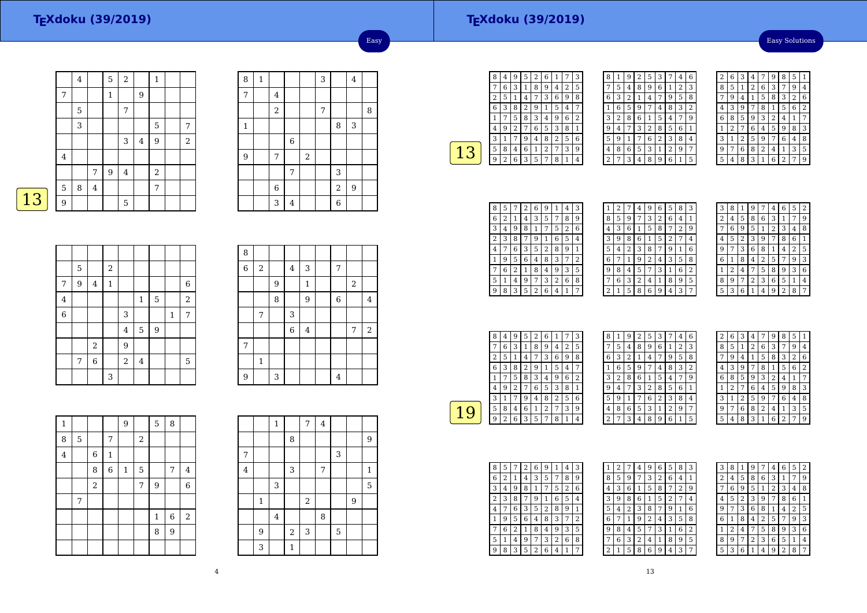#### Easy Solutions

|                | $\overline{\mathbf{4}}$ |         | 5            | $\,2$          |         | $\mathbf{1}$   |                |
|----------------|-------------------------|---------|--------------|----------------|---------|----------------|----------------|
| 7              |                         |         | $\mathbf{1}$ |                | 9       |                |                |
|                | 5                       |         |              | 7              |         |                |                |
|                | 3                       |         |              |                |         | $\mathbf 5$    | 7              |
|                |                         |         |              | 3              | $\bf 4$ | 9              | $\overline{2}$ |
| $\bf 4$        |                         |         |              |                |         |                |                |
|                |                         | 7       | 9            | $\overline{4}$ |         | $\overline{2}$ |                |
| $\overline{5}$ | 8                       | $\bf 4$ |              |                |         | 7              |                |
| 9              |                         |         |              | 5              |         |                |                |
|                |                         |         |              |                |         |                |                |

| 8              | $\,1\,$ |                         |            |            | 3 |                | $\bf 4$        |             |
|----------------|---------|-------------------------|------------|------------|---|----------------|----------------|-------------|
| $\overline{7}$ |         | $\overline{\mathbf{4}}$ |            |            |   |                |                |             |
|                |         | $\sqrt{2}$              |            |            | 7 |                |                | $\,$ 8 $\,$ |
| $\mathbf{1}$   |         |                         |            |            |   | 8              | 3              |             |
|                |         |                         | 6          |            |   |                |                |             |
| $\overline{9}$ |         | 7                       |            | $\sqrt{2}$ |   |                |                |             |
|                |         |                         | $\sqrt{ }$ |            |   | 3              |                |             |
|                |         | $\sqrt{6}$              |            |            |   | $\overline{2}$ | $\overline{9}$ |             |
|                |         | 3                       | 4          |            |   | $\overline{6}$ |                |             |

Easy

|  |  | <b>Contract Contract Contract Contract Contract Contract Contract Contract Contract Contract Contract Contract Co</b> |  |
|--|--|-----------------------------------------------------------------------------------------------------------------------|--|
|--|--|-----------------------------------------------------------------------------------------------------------------------|--|

|                | 5 |                         | $\sqrt{2}$   |                |                |                  |              |             |
|----------------|---|-------------------------|--------------|----------------|----------------|------------------|--------------|-------------|
| 7              | 9 | $\overline{\mathbf{4}}$ | $\mathbf{1}$ |                |                |                  |              | $\,$ 6 $\,$ |
| $\overline{4}$ |   |                         |              |                | $\mathbf 1$    | 5                |              | $\sqrt{2}$  |
| 6              |   |                         |              | 3              |                |                  | $\mathbf{1}$ | 7           |
|                |   |                         |              | $\overline{4}$ | 5              | $\boldsymbol{9}$ |              |             |
|                |   | $\,2$                   |              | 9              |                |                  |              |             |
|                | 7 | $\overline{6}$          |              | $\overline{a}$ | $\overline{4}$ |                  |              | 5           |
|                |   |                         | 3            |                |                |                  |              |             |

| 8              |              |                |                |         |                |            |                         |
|----------------|--------------|----------------|----------------|---------|----------------|------------|-------------------------|
| $\overline{6}$ | $\sqrt{2}$   |                | $\overline{4}$ | 3       | 7              |            |                         |
|                |              | $\overline{9}$ |                | $\,1\,$ |                | $\sqrt{2}$ |                         |
|                |              | 8              |                | 9       | $\overline{6}$ |            | 4                       |
|                | 7            |                | 3              |         |                |            |                         |
|                |              |                | 6              | $\bf 4$ |                | 7          | $\overline{\mathbf{2}}$ |
| $\overline{7}$ |              |                |                |         |                |            |                         |
|                | $\mathbf{1}$ |                |                |         |                |            |                         |
| 9              |              | 3              |                |         | $\overline{4}$ |            |                         |

| $\mathbf 1$    |   |                |              | 9            |                  | 5                | 8                |       |
|----------------|---|----------------|--------------|--------------|------------------|------------------|------------------|-------|
| 8              | 5 |                | 7            |              | $\boldsymbol{2}$ |                  |                  |       |
| $\overline{4}$ |   | 6              | $\mathbf{1}$ |              |                  |                  |                  |       |
|                |   | 8              | $\,$ 6 $\,$  | $\mathbf{1}$ | 5                |                  | 7                | 4     |
|                |   | $\overline{c}$ |              |              | 7                | $\boldsymbol{9}$ |                  | 6     |
|                | 7 |                |              |              |                  |                  |                  |       |
|                |   |                |              |              |                  | $\mathbf{1}$     | $\boldsymbol{6}$ | $\,2$ |
|                |   |                |              |              |                  | 8                | 9                |       |
|                |   |                |              |              |                  |                  |                  |       |

|   |                | 1              |              | 7                         | 4 |   |   |              |
|---|----------------|----------------|--------------|---------------------------|---|---|---|--------------|
|   |                |                | 8            |                           |   |   |   | 9            |
| 7 |                |                |              |                           |   | 3 |   |              |
| 4 |                |                | 3            |                           | 7 |   |   | $\mathbf{1}$ |
|   |                | 3              |              |                           |   |   |   | 5            |
|   | $\mathbf{1}$   |                |              | $\,2$                     |   |   | 9 |              |
|   |                | $\overline{4}$ |              |                           | 8 |   |   |              |
|   | $\overline{9}$ |                | $\,2$        | $\ensuremath{\mathsf{3}}$ |   | 5 |   |              |
|   | 3              |                | $\mathbf{1}$ |                           |   |   |   |              |

| 8 | 4 | 9              | 5 | $\overline{2}$ | 6 | 1 | 7 | 3 |  |
|---|---|----------------|---|----------------|---|---|---|---|--|
|   | 6 | 3              | 1 | 8              | 9 | 4 | 2 | 5 |  |
| 2 | 5 | 1              | 4 | 7              | 3 | 6 | 9 | 8 |  |
| 6 | 3 | 8              | 2 | 9              |   | 5 | 4 |   |  |
| 1 |   | 5              | 8 | 3              | 4 | 9 | 6 | 2 |  |
| 4 | 9 | $\overline{c}$ |   | 6              | 5 | 3 | 8 | 1 |  |
| 3 |   |                | 9 | 4              | 8 | 2 | 5 | 6 |  |
| 5 | 8 | 4              | 6 | 1              | 2 | 7 | 3 | 9 |  |
| q | 2 | 6              | 3 | 5              | 7 | 8 | 1 | 4 |  |
|   |   |                |   |                |   |   |   |   |  |

| 8 | 1 | 9 | $\overline{2}$ | 5 | 3 | 7              | 4 | 6              |
|---|---|---|----------------|---|---|----------------|---|----------------|
|   | 5 | 4 | 8              | 9 | 6 | $\mathbf{1}$   | 2 | 3              |
| 6 | 3 | 2 | 1              | 4 | 7 | 9              | 5 | 8              |
|   | 6 | 5 | 9              | 7 | 4 | 8              | 3 | $\overline{2}$ |
| 3 | 2 | 8 | 6              | 1 | 5 | 4              | 7 | 9              |
| 9 | 4 | 7 | 3              | 2 | 8 | 5              | 6 | 1              |
| 5 | 9 | 1 | 7              | 6 | 2 | 3              | 8 | 4              |
| 4 | 8 | 6 | 5              | 3 | 1 | $\overline{2}$ | 9 | 7              |
|   | 7 | 3 | 4              | 8 | 9 | 6              | 1 | 5              |

| 2 | 6 | З | 4 |   | 9              | 8              | 5 | 1 |
|---|---|---|---|---|----------------|----------------|---|---|
| 8 | 5 | 1 | 2 | 6 | 3              |                | 9 | 4 |
|   | 9 | 4 | 1 | 5 | 8              | 3              | 2 | 6 |
| 4 | 3 | g |   | 8 | 1              | 5              | 6 | 2 |
| 6 | 8 | 5 | 9 | 3 | $\overline{2}$ | 4              | 1 | 7 |
|   | 2 | 7 | 6 | 4 | 5              | 9              | 8 | 3 |
| 3 | 1 | 2 | 5 | 9 |                | 6              | 4 | 8 |
| g | 7 | 6 | 8 | 2 | 4              | 1              | 3 | 5 |
|   | 4 | 8 | 3 |   | 6              | $\overline{2}$ |   | g |

| 8 | 5 |   | 2 | 6 | 9 | 1              | 4 | 3 |
|---|---|---|---|---|---|----------------|---|---|
| 6 | 2 | 1 | 4 | 3 | 5 |                | 8 | 9 |
| 3 | 4 | 9 | 8 | 1 | 7 | 5              | 2 | 6 |
| 2 | 3 | 8 |   | 9 |   | 6              | 5 | 4 |
| 4 | 7 | 6 | 3 | 5 | 2 | 8              | 9 | 1 |
|   | 9 | 5 | 6 | 4 | 8 | 3              | 7 | 2 |
|   | 6 | 2 | 1 | 8 | 4 | 9              | 3 | 5 |
| 5 | 1 | 4 | 9 | 7 | 3 | $\overline{2}$ | 6 | 8 |
| g | 8 | 3 | 5 | 2 | 6 | 4              |   |   |

| 1              | 2 | 7 | 4 | 9 | 6 | 5              | 8 | 3            |
|----------------|---|---|---|---|---|----------------|---|--------------|
| 8              | 5 | 9 | 7 | 3 | 2 | 6              | 4 | $\mathbf{1}$ |
| 4              | 3 | 6 | 1 | 5 | 8 | 7              | 2 | g            |
| 3              | 9 | 8 | 6 | 1 | 5 | $\overline{2}$ | 7 | 4            |
| 5              | 4 | 2 | 3 | 8 | 7 | 9              | 1 | 6            |
| 6              |   | 1 | 9 | 2 | 4 | 3              | 5 | 8            |
| 9              | 8 | 4 | 5 | 7 | 3 | 1              | 6 | 2            |
| 7              | 6 | 3 | 2 | 4 | 1 | 8              | 9 | 5            |
| $\overline{2}$ | 1 | 5 | 8 | 6 | 9 | 4              | 3 | 7            |
|                |   |   |   |   |   |                |   |              |

| 3 | 8 |   | 9 |   | 4 | 6              | 5 | 2 |
|---|---|---|---|---|---|----------------|---|---|
| 2 | 4 | 5 | 8 | 6 | 3 | 1              |   | 9 |
|   | 6 | 9 | 5 | 1 | 2 | 3              | 4 | 8 |
| 4 | 5 | 2 | 3 | 9 |   | 8              | 6 | 1 |
| 9 | 7 | 3 | 6 | 8 | 1 | 4              | 2 | 5 |
| 6 | 1 | 8 | 4 | 2 | 5 |                | 9 | 3 |
| 1 | 2 | 4 |   | 5 | 8 | 9              | 3 | 6 |
| 8 | 9 |   | 2 | 3 | 6 | 5              | 1 | 4 |
| 5 | 3 | 6 |   | 4 | 9 | $\overline{2}$ | 8 |   |

| 8 | 4 | 9 | 5 | 2              | 6 |   |   | 3 |  |
|---|---|---|---|----------------|---|---|---|---|--|
|   | 6 | 3 | 1 | 8              | 9 | 4 | 2 | 5 |  |
| 2 | 5 |   | 4 | 7              | 3 | 6 | 9 | 8 |  |
| 6 | З | 8 | 2 | 9              |   | 5 | 4 |   |  |
|   |   | 5 | 8 | 3              | 4 | 9 | 6 | 2 |  |
| 4 | 9 | 2 |   | 6              | 5 | 3 | 8 |   |  |
| 3 |   |   | y | $\overline{4}$ | 8 | 2 | 5 | 6 |  |
| 5 | 8 | 4 | 6 | 1              | 2 | 7 | 3 | 9 |  |
|   | 2 | 6 | 3 | 5              | 7 | 8 | 1 | 4 |  |
|   |   |   |   |                |   |   |   |   |  |

| 8 | 1 | 9 | $\overline{2}$ | 5              | 3 | 7              | 4              | 6              |  |
|---|---|---|----------------|----------------|---|----------------|----------------|----------------|--|
| 7 | 5 | 4 | 8              | 9              | 6 | 1              | $\overline{2}$ | 3              |  |
| 6 | 3 | 2 | 1              | 4              | 7 | 9              | 5              | 8              |  |
| 1 | 6 | 5 | 9              | 7              | 4 | 8              | 3              | $\overline{2}$ |  |
| 3 | 2 | 8 | 6              | 1              | 5 | 4              | 7              | 9              |  |
| 9 | 4 | 7 | 3              | $\overline{2}$ | 8 | 5              | 6              | 1              |  |
| 5 | 9 | 1 | 7              | 6              | 2 | 3              | 8              | 4              |  |
| 4 | 8 | 6 | 5              | 3              | 1 | $\overline{2}$ | 9              | 7              |  |
| 2 | 7 | 3 | 4              | 8              | 9 | 6              | 1              | 5              |  |

| 2 | 6 | 3 | 4 |   | 9 | 8              | 5              | 1 |
|---|---|---|---|---|---|----------------|----------------|---|
| 8 | 5 | 1 | 2 | 6 | 3 |                | 9              | 4 |
| 7 | 9 | 4 | 1 | 5 | 8 | 3              | $\overline{2}$ | 6 |
| 4 | 3 | 9 |   | 8 | 1 | 5              | 6              | 2 |
| 6 | 8 | 5 | 9 | 3 | 2 | 4              | 1              | 7 |
| 1 | 2 |   | 6 | 4 | 5 | 9              | 8              | 3 |
| 3 | 1 | 2 | 5 | 9 |   | 6              | 4              | 8 |
| 9 | 7 | 6 | 8 | 2 | 4 | 1              | 3              | 5 |
| 5 | 4 | 8 | 3 | 1 | 6 | $\overline{2}$ | 7              | q |

| 8 | 5 |   | 2 | 6              | g | 1 | 4              | 3 |
|---|---|---|---|----------------|---|---|----------------|---|
| 6 | 2 | 1 | 4 | 3              | 5 | 7 | 8              | 9 |
| 3 | 4 | 9 | 8 | 1              | 7 | 5 | $\overline{2}$ | 6 |
| 2 | 3 | 8 | 7 | 9              | 1 | 6 | 5              | 4 |
| 4 |   | 6 | 3 | 5              | 2 | 8 | 9              | 1 |
|   | 9 | 5 | 6 | 4              | 8 | 3 | 7              | 2 |
|   | 6 | 2 | 1 | 8              | 4 | 9 | 3              | 5 |
| 5 | 1 | 4 | 9 | 7              | 3 | 2 | 6              | 8 |
| g | 8 | 3 | 5 | $\overline{2}$ | 6 | 4 | 1              |   |

| 1              | 2 | 7 | 4 | 9 | 6 | 5              | 8              | 3 |
|----------------|---|---|---|---|---|----------------|----------------|---|
| 8              | 5 | 9 | 7 | 3 | 2 | 6              | 4              | 1 |
| 4              | 3 | 6 | 1 | 5 | 8 | 7              | $\overline{2}$ | 9 |
| 3              | 9 | 8 | 6 | 1 | 5 | $\overline{2}$ | 7              | 4 |
| 5              | 4 | 2 | 3 | 8 | 7 | 9              | 1              | 6 |
| 6              | 7 | 1 | 9 | 2 | 4 | 3              | 5              | 8 |
| 9              | 8 | 4 | 5 | 7 | 3 | 1              | 6              | 2 |
| 7              | 6 | 3 | 2 | 4 | 1 | 8              | 9              | 5 |
| $\overline{c}$ | 1 | 5 | 8 | 6 | 9 | 4              | 3              | 7 |

| 3 | 8 | 1 | 9              |   | 4              | 6              | 5              | 2 |
|---|---|---|----------------|---|----------------|----------------|----------------|---|
| 2 | 4 | 5 | 8              | 6 | 3              | 1              | 7              | 9 |
|   | 6 | 9 | 5              | 1 | $\overline{2}$ | 3              | 4              | 8 |
| 4 | 5 | 2 | 3              | 9 | 7              | 8              | 6              | 1 |
| 9 | 7 | 3 | 6              | 8 | 1              | 4              | $\overline{2}$ | 5 |
| 6 | 1 | 8 | 4              | 2 | 5              | 7              | 9              | 3 |
| 1 | 2 | 4 | 7              | 5 | 8              | 9              | 3              | 6 |
| 8 | 9 | 7 | $\overline{c}$ | 3 | 6              | 5              | 1              | 4 |
| 5 | 3 | 6 | 1              | 4 | 9              | $\overline{2}$ | 8              | 7 |
|   |   |   |                |   |                |                |                |   |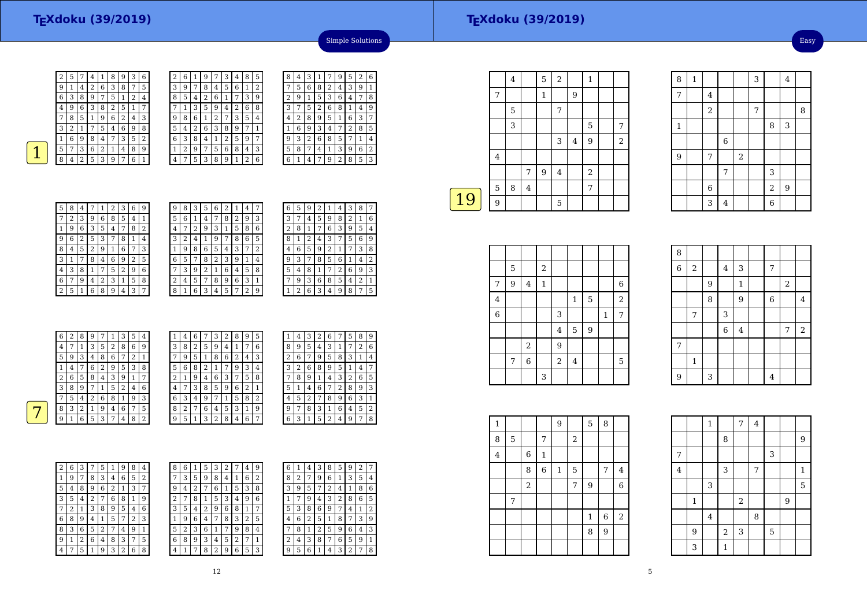| 2 | 6 | 1 | 9 |   | З | 4 | 8              | 5 |
|---|---|---|---|---|---|---|----------------|---|
| 3 | 9 | 7 | 8 | 4 | 5 | 6 | 1              | 2 |
| 8 | 5 | 4 | 2 | 6 | 1 | 7 | 3              | 9 |
|   |   | 3 | 5 | 9 | 4 | 2 | 6              | 8 |
| 9 | 8 | 6 | 1 | 2 | 7 | 3 | 5              | 4 |
| 5 | 4 | 2 | 6 | 3 | 8 | 9 |                | 1 |
| 6 | 3 | 8 | 4 | 1 | 2 | 5 | 9              |   |
| 1 | 2 | 9 |   | 5 | 6 | 8 | 4              | 3 |
|   |   | 5 | 3 | 8 | 9 |   | $\overline{2}$ | 6 |

|    | 8 | 4 | З | 1              | 7 | 9 | 5 | 2 | 6              |
|----|---|---|---|----------------|---|---|---|---|----------------|
|    |   | 5 | 6 | 8              | 2 | 4 | 3 | 9 | 1              |
|    | 2 | 9 | 1 | 5              | 3 | 6 | 4 | 7 | 8              |
|    | 3 |   | 5 | $\overline{2}$ | 6 | 8 | 1 | 4 | 9              |
| E. | 4 | 2 | 8 | 9              | 5 | 1 | 6 | 3 |                |
|    |   | 6 | 9 | 3              | 4 | 7 | 2 | 8 | 5              |
|    | 9 | 3 | 2 | 6              | 8 | 5 | 7 | 1 | 4              |
|    | 5 | 8 | 7 | 4              | 1 | 3 | 9 | 6 | $\overline{2}$ |
|    | 6 |   | 4 |                | 9 | 2 | 8 | 5 | 3              |
|    |   |   |   |                |   |   |   |   |                |

Simple Solutions

| 5 | 8 | 4 | 7              | 1 | 2 | 3              | 6 | 9 |  |
|---|---|---|----------------|---|---|----------------|---|---|--|
|   | 2 | 3 | 9              | 6 | 8 | 5              | 4 | 1 |  |
| 1 | 9 | 6 | 3              | 5 | 4 |                | 8 | 2 |  |
| 9 | 6 | 2 | 5              | 3 |   | 8              | 1 | 4 |  |
| 8 | 4 | 5 | $\overline{2}$ | 9 | 1 | 6              | 7 | 3 |  |
| 3 | 1 | 7 | 8              | 4 | 6 | 9              | 2 | 5 |  |
| 4 | 3 | 8 | 1              | 7 | 5 | $\overline{2}$ | 9 | 6 |  |
| 6 | 7 | 9 | 4              | 2 | 3 | 1              | 5 | 8 |  |
| 2 | 5 | 1 | 6              | 8 | 9 | 4              | 3 | 7 |  |

| 9 | 8 | 3 | 5 | 6 | 2 | 1 | 4 |   |  |
|---|---|---|---|---|---|---|---|---|--|
| 5 | 6 | 1 | 4 | 7 | 8 | 2 | 9 | 3 |  |
| 4 | 7 | 2 | 9 | 3 | 1 | 5 | 8 | 6 |  |
| 3 | 2 | 4 | 1 | 9 | 7 | 8 | 6 | 5 |  |
| 1 | 9 | 8 | 6 | 5 | 4 | 3 | 7 | 2 |  |
| 6 | 5 | 7 | 8 | 2 | 3 | 9 | 1 | 4 |  |
|   | 3 | 9 | 2 | 1 | 6 | 4 | 5 | 8 |  |
| 2 | 4 | 5 | 7 | 8 | 9 | 6 | 3 | 1 |  |
| 8 | 1 | 6 | 3 | 4 | 5 |   | 2 | 9 |  |

| 6 | 5 | 9 | 2 | 1 | 4 | 3 | 8 | 7 |
|---|---|---|---|---|---|---|---|---|
| 3 | 7 | 4 | 5 | 9 | 8 | 2 | 1 | 6 |
| 2 | 8 | 1 | 7 | 6 | 3 | 9 | 5 | 4 |
| 8 | 1 | 2 | 4 | 3 |   | 5 | 6 | 9 |
| 4 | 6 | 5 | 9 | 2 | 1 | 7 | 3 | 8 |
| 9 | 3 | 7 | 8 | 5 | 6 | 1 | 4 | 2 |
| 5 | 4 | 8 | 1 | 7 | 2 | 6 | 9 | 3 |
| 7 | 9 | 3 | 6 | 8 | 5 | 4 | 2 | 1 |
|   | 2 | 6 | 3 | 4 | 9 | 8 | 7 | 5 |

| 6 | 2 | 8 | 9 | 7 | 1 | 3 | 5 | 4                  | 1 | 4 | 6 | 7 | 3 | 2 | 8 | 9      | 5              |
|---|---|---|---|---|---|---|---|--------------------|---|---|---|---|---|---|---|--------|----------------|
| 4 | 7 |   | 3 | 5 | 2 | 8 | 6 | 9                  | 3 | 8 | 2 | 5 | 9 | 4 |   | 7      | 6              |
| 5 | 9 | 3 | 4 | 8 | 6 | 7 | ר |                    | 7 | 9 | 5 |   | 8 | 6 | 2 | 4      | 3              |
|   | 4 | 7 | 6 | 2 | 9 | 5 | 3 | 8                  | 5 | 6 | 8 | ר |   | 7 | 9 | 3      | 4              |
| 2 | 6 | 5 | 8 | 4 | 3 | 9 |   | 7                  | າ | 1 | 9 | 4 | 6 | 3 | 7 | 5      | 8              |
| 3 | 8 | 9 | 7 |   | 5 | 2 | 4 | 6                  | 4 | 7 | 3 | 8 | 5 | 9 | 6 | ר<br>∠ | 1<br>┸         |
| 7 | 5 | 4 | 2 | 6 | 8 |   | 9 | 3                  | 6 | 3 | 4 | 9 |   |   | 5 | 8      | $\overline{2}$ |
| 8 | 3 | ∍ |   | 9 | 4 | 6 | 7 | 5                  | 8 | 2 | 7 | 6 | 4 | 5 | 3 |        | 9              |
| 9 |   | 6 | 5 | 3 | 7 | 4 | 8 | $\mathcal{L}$<br>∠ | 9 | 5 |   | 3 | 2 | 8 | 4 | 6      | 7              |

| 1 | 4 | 3 | $\overline{2}$ | 6 | 7 | 5 | 8              | 9              |
|---|---|---|----------------|---|---|---|----------------|----------------|
| 8 | 9 | 5 | 4              | 3 | 1 | 7 | $\overline{2}$ | 6              |
| 2 | 6 | 7 | 9              | 5 | 8 | 3 | 1              | 4              |
| 3 | 2 | 6 | 8              | 9 | 5 | 1 | 4              | 7              |
|   | 8 | 9 | 1              | 4 | 3 | 2 | 6              | 5              |
| 5 | 1 | 4 | 6              | 7 | 2 | 8 | 9              | 3              |
| 4 | 5 | 2 | 7              | 8 | 9 | 6 | 3              | 1              |
| 9 | 7 | 8 | 3              | 1 | 6 | 4 | 5              | $\overline{2}$ |
| 6 | 3 | 1 | 5              | 2 | 4 | 9 | 7              | 8              |

| 2 | 6 | 3 |   | 5 | 1 | 9 | 8 | 4 | 8              |
|---|---|---|---|---|---|---|---|---|----------------|
|   | 9 | 7 | 8 | 3 | 4 | 6 | 5 | 2 |                |
| 5 | 4 | 8 | 9 | 6 | 2 | 1 | 3 | 7 | 9              |
| 3 | 5 | 4 | 2 | 7 | 6 | 8 | 1 | 9 | $\overline{2}$ |
|   | 2 | 1 | 3 | 8 | 9 | 5 | 4 | 6 | 3              |
| 6 | 8 | 9 | 4 | 1 | 5 | 7 | 2 | 3 |                |
| 8 | 3 | 6 | 5 | 2 | 7 | 4 | 9 | 1 | 5              |
| 9 | 1 | 2 | 6 | 4 | 8 | 3 | 7 | 5 | 6              |
| 4 | 7 | 5 | 1 | 9 | 3 | 2 | 6 | 8 | 4              |
|   |   |   |   |   |   |   |   |   |                |

 $7$ 

| 8            | 6 | 1 | 5 | 3 | 2 |   | 4 | 9 | 6              |   | 4 | З | 8 | 5 | 9              | 2 | 7 |
|--------------|---|---|---|---|---|---|---|---|----------------|---|---|---|---|---|----------------|---|---|
| 7            | 3 | 5 | 9 | 8 | 4 | 1 | 6 | 2 | 8              | າ | 7 | 9 | 6 | 1 | 3              | 5 | 4 |
| 9            | 4 | 2 | 7 | 6 | 1 | 5 | 3 | 8 | 3              | 9 | 5 | 7 | 2 | 4 | 1              | 8 | 6 |
| 2            | 7 | 8 |   | 5 | 3 | 4 | 9 | 6 |                |   | 9 | 4 | 3 | 2 | 8              | 6 | 5 |
| 3            | 5 | 4 | 2 | 9 | 6 | 8 | 1 | 7 | 5              | 3 | 8 | 6 | 9 | 7 | 4              | 1 | 2 |
| $\mathbf{1}$ | 9 | 6 | 4 | 7 | 8 | 3 | 2 | 5 | 4              | 6 | 2 | 5 | 1 | 8 | 7              | 3 | 9 |
| 5            | 2 | 3 | 6 |   | 7 | 9 | 8 | 4 | 7              | 8 | 1 | 2 | 5 | 9 | 6              | 4 | 3 |
| 6            | 8 | 9 | 3 | 4 | 5 | 2 | 7 | 1 | $\overline{2}$ | 4 | 3 | 8 | 7 | 6 | 5              | 9 | 1 |
| 4            | 1 | 7 | 8 | 2 | 9 | 6 | 5 | 3 | 9              | 5 | 6 |   | 4 | 3 | $\overline{2}$ | 7 | 8 |
|              |   |   |   |   |   |   |   |   |                |   |   |   |   |   |                |   |   |

|    |   | 4 |                | $\mathbf 5$  | $\sqrt{2}$     |                | 1              |                |
|----|---|---|----------------|--------------|----------------|----------------|----------------|----------------|
|    | 7 |   |                | $\mathbf{1}$ |                | 9              |                |                |
|    |   | 5 |                |              | 7              |                |                |                |
|    |   | 3 |                |              |                |                | 5              | 7              |
|    |   |   |                |              | 3              | $\overline{4}$ | 9              | $\overline{2}$ |
|    | 4 |   |                |              |                |                |                |                |
|    |   |   | 7              | 9            | $\overline{4}$ |                | $\overline{2}$ |                |
|    | 5 | 8 | $\overline{4}$ |              |                |                | 7              |                |
| 19 | 9 |   |                |              | 5              |                |                |                |
|    |   |   |                |              |                |                |                |                |

|                         | 5 |             | $\boldsymbol{2}$ |                |             |                |              |       |
|-------------------------|---|-------------|------------------|----------------|-------------|----------------|--------------|-------|
| 7                       | 9 | 4           | 1                |                |             |                |              | 6     |
| $\overline{\mathbf{4}}$ |   |             |                  |                | $\mathbf 1$ | 5              |              | $\,2$ |
| $\,$ 6 $\,$             |   |             |                  | 3              |             |                | $\mathbf{1}$ | 7     |
|                         |   |             |                  | $\overline{4}$ | $\mathbf 5$ | $\overline{9}$ |              |       |
|                         |   | $\,2$       |                  | 9              |             |                |              |       |
|                         | 7 | $\,$ 6 $\,$ |                  | $\sqrt{2}$     | $\bf 4$     |                |              | 5     |
|                         |   |             | 3                |                |             |                |              |       |

| 8                |              |   |                         |                         |                |                         |            |
|------------------|--------------|---|-------------------------|-------------------------|----------------|-------------------------|------------|
| $\overline{6}$   | $\,2$        |   | $\overline{\mathbf{4}}$ | 3                       | 7              |                         |            |
|                  |              | 9 |                         | $\mathbf{1}$            |                | $\overline{\mathbf{c}}$ |            |
|                  |              | 8 |                         | 9                       | $\overline{6}$ |                         | $\bf 4$    |
|                  | 7            |   | 3                       |                         |                |                         |            |
|                  |              |   | 6                       | $\overline{\mathbf{4}}$ |                | 7                       | $\sqrt{2}$ |
| $\overline{7}$   |              |   |                         |                         |                |                         |            |
|                  | $\mathbf{1}$ |   |                         |                         |                |                         |            |
| $\boldsymbol{9}$ |              | 3 |                         |                         | $\overline{4}$ |                         |            |

 $\frac{1}{\sqrt{3}}$   $\frac{3}{4}$ 

<sup>2</sup>

 $\begin{array}{|c|c|c|c|c|}\n\hline\n6 & 2 \\
\hline\n\end{array}$ 

 $\frac{7}{3}$  3

 $\frac{4}{\sqrt{6}}$  6

 $\begin{array}{|c|c|c|c|c|c|c|c|}\n\hline\n2 & 7 & 8 \\
\hline\n\end{array}$ 

 $8 \mid 3$ 

 $\begin{array}{c|c} 2 & 9 \\ \hline 6 & \end{array}$ 

 $\frac{8}{1}$ 

 <sup>4</sup> 2

<sup>7</sup>

6

3 <sup>4</sup>

6

7

7

1

9

| 5<br>8<br>9<br>1<br>8<br>$\mathbf 5$<br>$\sqrt{2}$<br>7<br>$\overline{\mathbf{4}}$<br>6<br>$\,1\,$<br>8<br>$\overline{6}$<br>5<br>7<br>$\mathbf{1}$<br>$\bf 4$<br>$\,2$<br>$\overline{6}$<br>$\sqrt{ }$<br>9<br>7<br>$\,2$<br>6<br>$\mathbf{1}$<br>9<br>8 |  |  |  |  |  |
|-----------------------------------------------------------------------------------------------------------------------------------------------------------------------------------------------------------------------------------------------------------|--|--|--|--|--|
|                                                                                                                                                                                                                                                           |  |  |  |  |  |
|                                                                                                                                                                                                                                                           |  |  |  |  |  |
|                                                                                                                                                                                                                                                           |  |  |  |  |  |
|                                                                                                                                                                                                                                                           |  |  |  |  |  |
|                                                                                                                                                                                                                                                           |  |  |  |  |  |
|                                                                                                                                                                                                                                                           |  |  |  |  |  |
|                                                                                                                                                                                                                                                           |  |  |  |  |  |
|                                                                                                                                                                                                                                                           |  |  |  |  |  |
|                                                                                                                                                                                                                                                           |  |  |  |  |  |

|         |              | $\mathbf{1}$ |              | $\sqrt{ }$ | $\overline{4}$ |                |   |              |
|---------|--------------|--------------|--------------|------------|----------------|----------------|---|--------------|
|         |              |              | 8            |            |                |                |   | 9            |
| 7       |              |              |              |            |                | 3              |   |              |
| $\bf 4$ |              |              | $\,$ 3 $\,$  |            | 7              |                |   | $\mathbf{1}$ |
|         |              | 3            |              |            |                |                |   | 5            |
|         | $\mathbf{1}$ |              |              | $\,2$      |                |                | 9 |              |
|         |              | $\bf 4$      |              |            | 8              |                |   |              |
|         | 9            |              | $\,2$        | 3          |                | $\overline{5}$ |   |              |
|         | 3            |              | $\mathbf{1}$ |            |                |                |   |              |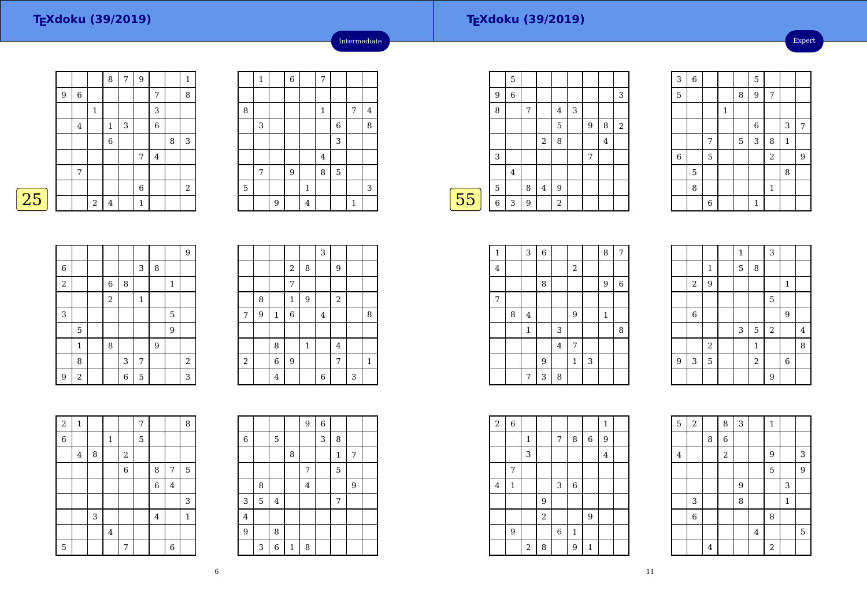Expert

|   |   |   |             | 8            | 7 | 9            |                |   | 1              |
|---|---|---|-------------|--------------|---|--------------|----------------|---|----------------|
|   | 9 | 6 |             |              |   |              | 7              |   | 8              |
|   |   |   | $\mathbf 1$ |              |   |              | 3              |   |                |
|   |   | 4 |             | $\mathbf{1}$ | 3 |              | $\overline{6}$ |   |                |
|   |   |   |             | $\,$ 6 $\,$  |   |              |                | 8 | 3              |
|   |   |   |             |              |   | 7            | $\bf 4$        |   |                |
|   |   | 7 |             |              |   |              |                |   |                |
|   |   |   |             |              |   | 6            |                |   | $\overline{2}$ |
| 5 |   |   | $\sqrt{2}$  | $\bf 4$      |   | $\mathbf{1}$ |                |   |                |

|   | $\mathbf{1}$ |   | $\overline{6}$ |         | 7              |                |              |   |
|---|--------------|---|----------------|---------|----------------|----------------|--------------|---|
|   |              |   |                |         |                |                |              |   |
| 8 |              |   |                |         | $\mathbf{1}$   |                | 7            | 4 |
|   | 3            |   |                |         |                | 6              |              | 8 |
|   |              |   |                |         |                | 3              |              |   |
|   |              |   |                |         | $\overline{4}$ |                |              |   |
|   | 7            |   | 9              |         | 8              | $\overline{5}$ |              |   |
| 5 |              |   |                | $\,1\,$ |                |                |              | 3 |
|   |              | 9 |                | 4       |                |                | $\mathbf{1}$ |   |

Intermediate

|    |   | 5              |   |                |   |   |   |   |                |
|----|---|----------------|---|----------------|---|---|---|---|----------------|
|    | 9 | 6              |   |                |   |   |   |   | 3              |
|    | 8 |                | 7 |                | 4 | 3 |   |   |                |
|    |   |                |   |                | 5 |   | 9 | 8 | $\overline{2}$ |
|    |   |                |   | $\overline{2}$ | 8 |   |   | 4 |                |
|    | 3 |                |   |                |   |   | 7 |   |                |
|    |   | $\overline{4}$ |   |                |   |   |   |   |                |
|    | 5 |                | 8 | $\overline{4}$ | 9 |   |   |   |                |
| 55 | 6 | 3              | 9 |                | 2 |   |   |   |                |
|    |   |                |   |                |   |   |   |   |                |

| 3           | $\,$ 6 $\,$ |            |              |   | 5              |                |              |   |
|-------------|-------------|------------|--------------|---|----------------|----------------|--------------|---|
| 5           |             |            |              | 8 | 9              | 7              |              |   |
|             |             |            | $\mathbf{1}$ |   |                |                |              |   |
|             |             |            |              |   | $\overline{6}$ |                | 3            | 7 |
|             |             | $\sqrt{ }$ |              | 5 | 3              | 8              | $\mathbf{1}$ |   |
| $\,$ 6 $\,$ |             | 5          |              |   |                | $\overline{a}$ |              | 9 |
|             | 5           |            |              |   |                |                | 8            |   |
|             | 8           |            |              |   |                | $\mathbf 1$    |              |   |
|             |             | 6          |              |   | $\mathbf 1$    |                |              |   |



|       |                |             |   |              |   |   | 9     |
|-------|----------------|-------------|---|--------------|---|---|-------|
| 6     |                |             |   | 3            | 8 |   |       |
| $\,2$ |                | $\,$ 6 $\,$ | 8 |              |   | 1 |       |
|       |                | $\sqrt{2}$  |   | $\mathbf{1}$ |   |   |       |
| 3     |                |             |   |              |   | 5 |       |
|       | 5              |             |   |              |   | 9 |       |
|       | $\mathbf{1}$   | 8           |   |              | 9 |   |       |
|       | 8              |             | 3 | 7            |   |   | $\,2$ |
| 9     | $\overline{2}$ |             | 6 | 5            |   |   | 3     |

|                |   |              |                |              | 3       |            |   |              |
|----------------|---|--------------|----------------|--------------|---------|------------|---|--------------|
|                |   |              | $\overline{c}$ | 8            |         | 9          |   |              |
|                |   |              | 7              |              |         |            |   |              |
|                | 8 |              | 1              | 9            |         | $\sqrt{2}$ |   |              |
| $\overline{7}$ | 9 | $\mathbf{1}$ | $\overline{6}$ |              | $\bf 4$ |            |   | 8            |
|                |   |              |                |              |         |            |   |              |
|                |   | 8            |                | $\mathbf{1}$ |         | $\bf 4$    |   |              |
| $\,2$          |   | 6            | 9              |              |         | 7          |   | $\mathbf{1}$ |
|                |   | 4            |                |              | 6       |            | 3 |              |

| $\overline{a}$ | $\mathbf 1$             |   |             |                | 7 |         |                | 8            |
|----------------|-------------------------|---|-------------|----------------|---|---------|----------------|--------------|
| 6              |                         |   | $\mathbf 1$ |                | 5 |         |                |              |
|                | $\overline{\mathbf{4}}$ | 8 |             | $\sqrt{2}$     |   |         |                |              |
|                |                         |   |             | $\overline{6}$ |   | 8       | 7              | $\mathbf 5$  |
|                |                         |   |             |                |   | 6       | $\overline{4}$ |              |
|                |                         |   |             |                |   |         |                | 3            |
|                |                         | 3 |             |                |   | $\bf 4$ |                | $\mathbf{1}$ |
|                |                         |   | $\bf{4}$    |                |   |         |                |              |
| 5              |                         |   |             | 7              |   |         | $\overline{6}$ |              |

|             |   |                |              | 9       | 6 |              |   |  |
|-------------|---|----------------|--------------|---------|---|--------------|---|--|
| $\,$ 6 $\,$ |   | 5              |              |         | 3 | 8            |   |  |
|             |   |                | 8            |         |   | $\mathbf{1}$ | 7 |  |
|             |   |                |              | 7       |   | 5            |   |  |
|             | 8 |                |              | $\bf 4$ |   |              | 9 |  |
| 3           | 5 | 4              |              |         |   | 7            |   |  |
| $\bf 4$     |   |                |              |         |   |              |   |  |
| 9           |   | 8              |              |         |   |              |   |  |
|             | 3 | $\overline{6}$ | $\mathbf{1}$ | 8       |   |              |   |  |

┑

| $\mathbf{1}$   |   | 3           | 6 |                |                |   | 8 | $\overline{7}$ |  |
|----------------|---|-------------|---|----------------|----------------|---|---|----------------|--|
| $\overline{4}$ |   |             |   |                | $\overline{2}$ |   |   |                |  |
|                |   |             | 8 |                |                |   | 9 | $\,$ 6 $\,$    |  |
| 7              |   |             |   |                |                |   |   |                |  |
|                | 8 | $\bf 4$     |   |                | 9              |   | 1 |                |  |
|                |   | $\mathbf 1$ |   | 3              |                |   |   | 8              |  |
|                |   |             |   | $\overline{4}$ | 7              |   |   |                |  |
|                |   |             | 9 |                | $\mathbf{1}$   | 3 |   |                |  |
|                |   | 7           | 3 | 8              |                |   |   |                |  |

|       |            |                | $\,1\,$ |                | 3                |              |                |
|-------|------------|----------------|---------|----------------|------------------|--------------|----------------|
|       |            | $\mathbf 1$    | 5       | 8              |                  |              |                |
|       | $\,2$      | $\overline{9}$ |         |                |                  | $\mathbf{1}$ |                |
|       |            |                |         |                | $\overline{5}$   |              |                |
|       | $\sqrt{6}$ |                |         |                |                  | 9            |                |
|       |            |                | 3       | $\overline{5}$ | $\boldsymbol{2}$ |              | $\overline{4}$ |
|       |            | $\overline{a}$ |         | $\mathbf 1$    |                  |              | 8              |
| $9\,$ | 3          | 5              |         | $\,2$          |                  | $\,$ 6 $\,$  |                |
|       |            |                |         |                | 9                |              |                |

| $\sqrt{2}$     | $\,$ 6 $\,$ |                  |       |        |              |              | 1       |  |
|----------------|-------------|------------------|-------|--------|--------------|--------------|---------|--|
|                |             | $\mathbf{1}$     |       | 7      | 8            | $\,$ 6 $\,$  | 9       |  |
|                |             | 3                |       |        |              |              | $\,4\,$ |  |
|                | 7           |                  |       |        |              |              |         |  |
| $\overline{4}$ | 1           |                  |       | 3      | $\,6\,$      |              |         |  |
|                |             |                  | 9     |        |              |              |         |  |
|                |             |                  | $\,2$ |        |              | 9            |         |  |
|                | 9           |                  |       | $\,$ 6 | $\mathbf{1}$ |              |         |  |
|                |             | $\boldsymbol{2}$ | 8     |        | 9            | $\mathbf{1}$ |         |  |

| $\mathbf 5$ | $\,2$          |   | 8              | $\ensuremath{\mathsf{3}}$ |                | $\mathbf{1}$   |         |   |
|-------------|----------------|---|----------------|---------------------------|----------------|----------------|---------|---|
|             |                | 8 | $\overline{6}$ |                           |                |                |         |   |
| $\bf{4}$    |                |   | $\overline{a}$ |                           |                | 9              |         | 3 |
|             |                |   |                |                           |                | 5              |         | 9 |
|             |                |   |                | 9                         |                |                | 3       |   |
|             | 3              |   |                | 8                         |                |                | $\,1\,$ |   |
|             | $\overline{6}$ |   |                |                           |                | 8              |         |   |
|             |                |   |                |                           | $\overline{4}$ |                |         | 5 |
|             |                | 4 |                |                           |                | $\overline{a}$ |         |   |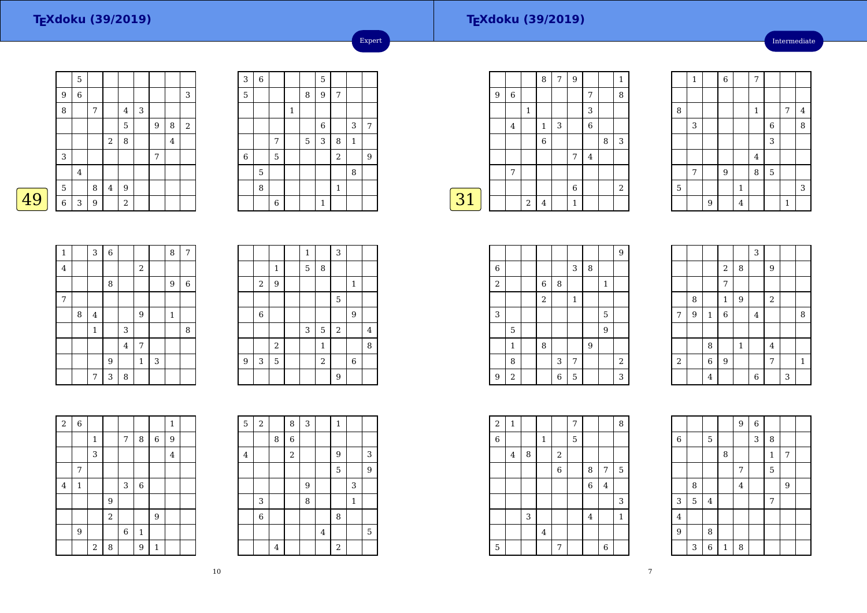Intermediate

|   |   | 5              |   |         |                |   |   |                |       |
|---|---|----------------|---|---------|----------------|---|---|----------------|-------|
|   | 9 | 6              |   |         |                |   |   |                | 3     |
|   | 8 |                | 7 |         | 4              | 3 |   |                |       |
|   |   |                |   |         | 5              |   | 9 | 8              | $\,2$ |
|   |   |                |   | $\,2$   | 8              |   |   | $\overline{4}$ |       |
|   | 3 |                |   |         |                |   | 7 |                |       |
|   |   | $\overline{4}$ |   |         |                |   |   |                |       |
|   | 5 |                | 8 | $\bf 4$ | 9              |   |   |                |       |
| 9 | 6 | 3              | 9 |         | $\overline{2}$ |   |   |                |       |

| 3           | 6 |                |              |   | 5            |                |         |   |
|-------------|---|----------------|--------------|---|--------------|----------------|---------|---|
| 5           |   |                |              | 8 | 9            | 7              |         |   |
|             |   |                | $\mathbf{1}$ |   |              |                |         |   |
|             |   |                |              |   | 6            |                | 3       | 7 |
|             |   | 7              |              | 5 | 3            | 8              | $\,1\,$ |   |
| $\,$ 6 $\,$ |   | 5              |              |   |              | $\overline{a}$ |         | 9 |
|             | 5 |                |              |   |              |                | 8       |   |
|             | 8 |                |              |   |              | $\mathbf 1$    |         |   |
|             |   | $\overline{6}$ |              |   | $\mathbf{1}$ |                |         |   |

Expert

|    |   |                |            | 8              | 7 | 9            |   |   | 1 |
|----|---|----------------|------------|----------------|---|--------------|---|---|---|
|    | 9 | 6              |            |                |   |              | 7 |   | 8 |
|    |   |                | 1          |                |   |              | 3 |   |   |
|    |   | $\overline{4}$ |            | 1              | 3 |              | 6 |   |   |
|    |   |                |            | 6              |   |              |   | 8 | 3 |
|    |   |                |            |                |   | 7            | 4 |   |   |
|    |   | 7              |            |                |   |              |   |   |   |
|    |   |                |            |                |   | 6            |   |   | 2 |
| 31 |   |                | $\sqrt{2}$ | $\overline{4}$ |   | $\mathbf{1}$ |   |   |   |
|    |   |                |            |                |   |              |   |   |   |

|   | $\mathbf 1$ |   | $\,$ 6 $\,$    |                | $\overline{7}$ |                |              |         |
|---|-------------|---|----------------|----------------|----------------|----------------|--------------|---------|
|   |             |   |                |                |                |                |              |         |
| 8 |             |   |                |                | $\mathbf{1}$   |                | 7            | $\bf 4$ |
|   | 3           |   |                |                |                | $\overline{6}$ |              | 8       |
|   |             |   |                |                |                | 3              |              |         |
|   |             |   |                |                | $\overline{4}$ |                |              |         |
|   | 7           |   | $\overline{9}$ |                | 8              | 5              |              |         |
| 5 |             |   |                | $\mathbf{1}$   |                |                |              | 3       |
|   |             | 9 |                | $\overline{4}$ |                |                | $\mathbf{1}$ |         |



| $\mathbf{1}$   |   | 3            | $\overline{6}$ |                |                |   | 8            | 7           |
|----------------|---|--------------|----------------|----------------|----------------|---|--------------|-------------|
| $\overline{4}$ |   |              |                |                | $\overline{c}$ |   |              |             |
|                |   |              | 8              |                |                |   | 9            | $\,$ 6 $\,$ |
| 7              |   |              |                |                |                |   |              |             |
|                | 8 | 4            |                |                | 9              |   | $\mathbf{1}$ |             |
|                |   | $\mathbf{1}$ |                | 3              |                |   |              | 8           |
|                |   |              |                | $\overline{4}$ | 7              |   |              |             |
|                |   |              | $\overline{9}$ |                | $\mathbf{1}$   | 3 |              |             |
|                |   | 7            | 3              | 8              |                |   |              |             |

|                |                  |                | $\mathbf{1}$ |              | $\overline{3}$ |              |                |
|----------------|------------------|----------------|--------------|--------------|----------------|--------------|----------------|
|                |                  | $\mathbf{1}$   | 5            | 8            |                |              |                |
|                | $\boldsymbol{2}$ | 9              |              |              |                | $\mathbf{1}$ |                |
|                |                  |                |              |              | 5              |              |                |
|                | 6                |                |              |              |                | 9            |                |
|                |                  |                | 3            | 5            | $\overline{c}$ |              | $\overline{4}$ |
|                |                  | $\overline{a}$ |              | $\mathbf{1}$ |                |              | 8              |
| $\overline{9}$ | 3                | 5              |              | $\,2$        |                | 6            |                |
|                |                  |                |              |              | 9              |              |                |

| $\overline{a}$ | $\,$ 6 $\,$  |             |                |             |              |              | $\mathbf 1$    |  |
|----------------|--------------|-------------|----------------|-------------|--------------|--------------|----------------|--|
|                |              | $\mathbf 1$ |                | 7           | 8            | $\,$ 6 $\,$  | 9              |  |
|                |              | 3           |                |             |              |              | $\overline{4}$ |  |
|                | 7            |             |                |             |              |              |                |  |
| $\bf 4$        | $\mathbf{1}$ |             |                | 3           | $\,$ 6 $\,$  |              |                |  |
|                |              |             | 9              |             |              |              |                |  |
|                |              |             | $\overline{a}$ |             |              | 9            |                |  |
|                | 9            |             |                | $\,$ 6 $\,$ | $\mathbf{1}$ |              |                |  |
|                |              | $\,2$       | 8              |             | 9            | $\mathbf{1}$ |                |  |

| 5              | $\overline{2}$ |   | 8              | 3 |                | $\mathbf{1}$ |              |   |
|----------------|----------------|---|----------------|---|----------------|--------------|--------------|---|
|                |                | 8 | $\overline{6}$ |   |                |              |              |   |
| $\overline{4}$ |                |   | $\overline{c}$ |   |                | 9            |              | 3 |
|                |                |   |                |   |                | 5            |              | 9 |
|                |                |   |                | 9 |                |              | 3            |   |
|                | 3              |   |                | 8 |                |              | $\mathbf{1}$ |   |
|                | 6              |   |                |   |                | 8            |              |   |
|                |                |   |                |   | $\overline{4}$ |              |              | 5 |
|                |                | 4 |                |   |                | $\,2$        |              |   |

|                |            |             |                |              |   |              | 9          |  |
|----------------|------------|-------------|----------------|--------------|---|--------------|------------|--|
| $\,6\,$        |            |             |                | 3            | 8 |              |            |  |
| $\overline{2}$ |            | $\,$ 6 $\,$ | 8              |              |   | $\mathbf{1}$ |            |  |
|                |            | $\sqrt{2}$  |                | $\mathbf{1}$ |   |              |            |  |
| 3              |            |             |                |              |   | 5            |            |  |
|                | 5          |             |                |              |   | 9            |            |  |
|                | 1          | 8           |                |              | 9 |              |            |  |
|                | 8          |             | 3              | 7            |   |              | $\sqrt{2}$ |  |
| 9              | $\sqrt{2}$ |             | $\overline{6}$ | 5            |   |              | 3          |  |

|       |   |                         |                |             | 3                       |                         |   |         |
|-------|---|-------------------------|----------------|-------------|-------------------------|-------------------------|---|---------|
|       |   |                         | $\overline{a}$ | 8           |                         | 9                       |   |         |
|       |   |                         | $\overline{7}$ |             |                         |                         |   |         |
|       | 8 |                         | $\mathbf 1$    | 9           |                         | $\overline{2}$          |   |         |
| 7     | 9 | $\mathbf 1$             | $\overline{6}$ |             | $\overline{\mathbf{4}}$ |                         |   | 8       |
|       |   |                         |                |             |                         |                         |   |         |
|       |   | 8                       |                | $\mathbf 1$ |                         | $\overline{\mathbf{4}}$ |   |         |
| $\,2$ |   | $\overline{6}$          | $\overline{9}$ |             |                         | 7                       |   | $\,1\,$ |
|       |   | $\overline{\mathbf{4}}$ |                |             | 6                       |                         | 3 |         |

| $\overline{a}$ | $\mathbf 1$      |   |         |                | 7 |                |                  | 8            |  |
|----------------|------------------|---|---------|----------------|---|----------------|------------------|--------------|--|
| $\overline{6}$ |                  |   | $\,1$   |                | 5 |                |                  |              |  |
|                | $\boldsymbol{4}$ | 8 |         | $\overline{2}$ |   |                |                  |              |  |
|                |                  |   |         | $\,$ 6 $\,$    |   | 8              | 7                | 5            |  |
|                |                  |   |         |                |   | $\,$ 6 $\,$    | $\overline{4}$   |              |  |
|                |                  |   |         |                |   |                |                  | 3            |  |
|                |                  | 3 |         |                |   | $\overline{4}$ |                  | $\mathbf{1}$ |  |
|                |                  |   | $\bf 4$ |                |   |                |                  |              |  |
| 5              |                  |   |         | 7              |   |                | $\boldsymbol{6}$ |              |  |

|            |   |         |              | 9       | $\overline{6}$ |                |                  |  |
|------------|---|---------|--------------|---------|----------------|----------------|------------------|--|
| 6          |   | 5       |              |         | 3              | 8              |                  |  |
|            |   |         | 8            |         |                | $\mathbf{1}$   | 7                |  |
|            |   |         |              | 7       |                | 5              |                  |  |
|            | 8 |         |              | $\bf 4$ |                |                | $\boldsymbol{9}$ |  |
| $\sqrt{3}$ | 5 | $\bf 4$ |              |         |                | $\overline{7}$ |                  |  |
| $\bf 4$    |   |         |              |         |                |                |                  |  |
| $9\,$      |   | 8       |              |         |                |                |                  |  |
|            | 3 | 6       | $\mathbf{1}$ | 8       |                |                |                  |  |

7